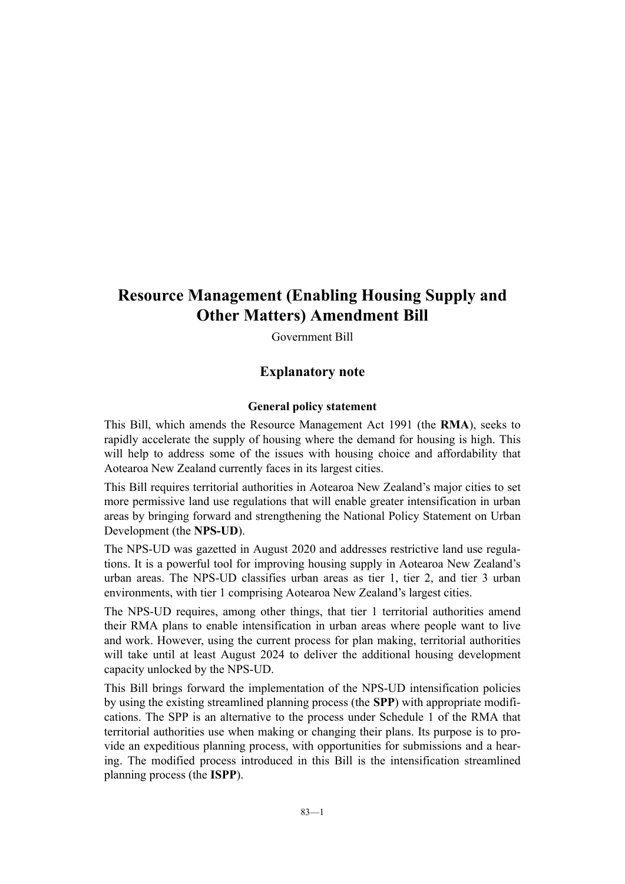## **Resource Management (Enabling Housing Supply and Other Matters) Amendment Bill**

Government Bill

#### **Explanatory note**

#### **General policy statement**

This Bill, which amends the Resource Management Act 1991 (the **RMA**), seeks to rapidly accelerate the supply of housing where the demand for housing is high. This will help to address some of the issues with housing choice and affordability that Aotearoa New Zealand currently faces in its largest cities.

This Bill requires territorial authorities in Aotearoa New Zealand's major cities to set more permissive land use regulations that will enable greater intensification in urban areas by bringing forward and strengthening the National Policy Statement on Urban Development (the **NPS-UD**).

The NPS-UD was gazetted in August 2020 and addresses restrictive land use regula‐ tions. It is a powerful tool for improving housing supply in Aotearoa New Zealand's urban areas. The NPS-UD classifies urban areas as tier 1, tier 2, and tier 3 urban environments, with tier 1 comprising Aotearoa New Zealand's largest cities.

The NPS-UD requires, among other things, that tier 1 territorial authorities amend their RMA plans to enable intensification in urban areas where people want to live and work. However, using the current process for plan making, territorial authorities will take until at least August 2024 to deliver the additional housing development capacity unlocked by the NPS-UD.

This Bill brings forward the implementation of the NPS-UD intensification policies by using the existing streamlined planning process (the **SPP**) with appropriate modifi‐ cations. The SPP is an alternative to the process under Schedule 1 of the RMA that territorial authorities use when making or changing their plans. Its purpose is to pro‐ vide an expeditious planning process, with opportunities for submissions and a hear‐ ing. The modified process introduced in this Bill is the intensification streamlined planning process (the **ISPP**).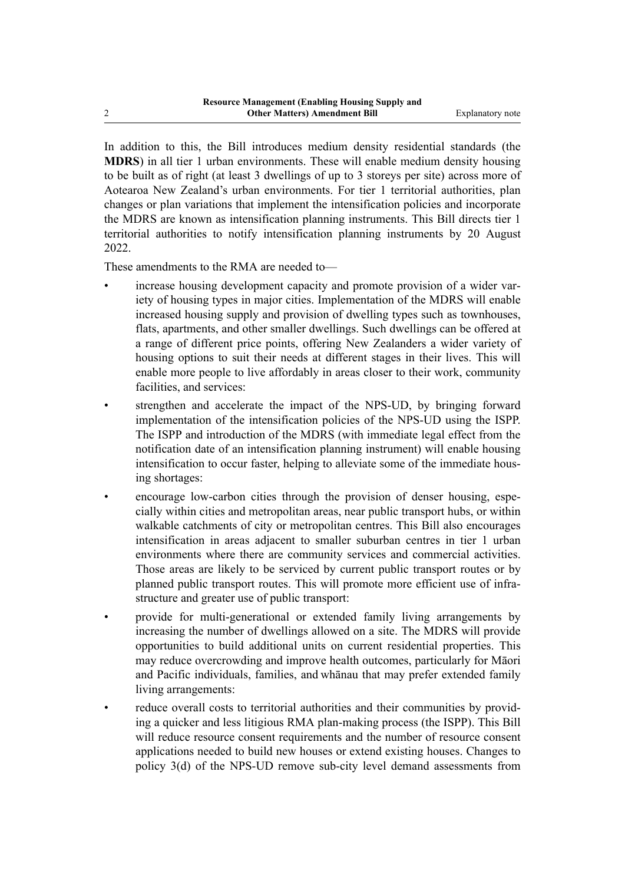In addition to this, the Bill introduces medium density residential standards (the **MDRS**) in all tier 1 urban environments. These will enable medium density housing to be built as of right (at least 3 dwellings of up to 3 storeys per site) across more of Aotearoa New Zealand's urban environments. For tier 1 territorial authorities, plan changes or plan variations that implement the intensification policies and incorporate the MDRS are known as intensification planning instruments. This Bill directs tier 1 territorial authorities to notify intensification planning instruments by 20 August 2022.

These amendments to the RMA are needed to—

- increase housing development capacity and promote provision of a wider variety of housing types in major cities. Implementation of the MDRS will enable increased housing supply and provision of dwelling types such as townhouses, flats, apartments, and other smaller dwellings. Such dwellings can be offered at a range of different price points, offering New Zealanders a wider variety of housing options to suit their needs at different stages in their lives. This will enable more people to live affordably in areas closer to their work, community facilities, and services:
- strengthen and accelerate the impact of the NPS-UD, by bringing forward implementation of the intensification policies of the NPS-UD using the ISPP. The ISPP and introduction of the MDRS (with immediate legal effect from the notification date of an intensification planning instrument) will enable housing intensification to occur faster, helping to alleviate some of the immediate housing shortages:
- encourage low-carbon cities through the provision of denser housing, especially within cities and metropolitan areas, near public transport hubs, or within walkable catchments of city or metropolitan centres. This Bill also encourages intensification in areas adjacent to smaller suburban centres in tier 1 urban environments where there are community services and commercial activities. Those areas are likely to be serviced by current public transport routes or by planned public transport routes. This will promote more efficient use of infrastructure and greater use of public transport:
- provide for multi-generational or extended family living arrangements by increasing the number of dwellings allowed on a site. The MDRS will provide opportunities to build additional units on current residential properties. This may reduce overcrowding and improve health outcomes, particularly for Māori and Pacific individuals, families, and whānau that may prefer extended family living arrangements:
- reduce overall costs to territorial authorities and their communities by providing a quicker and less litigious RMA plan-making process (the ISPP). This Bill will reduce resource consent requirements and the number of resource consent applications needed to build new houses or extend existing houses. Changes to policy 3(d) of the NPS-UD remove sub-city level demand assessments from

2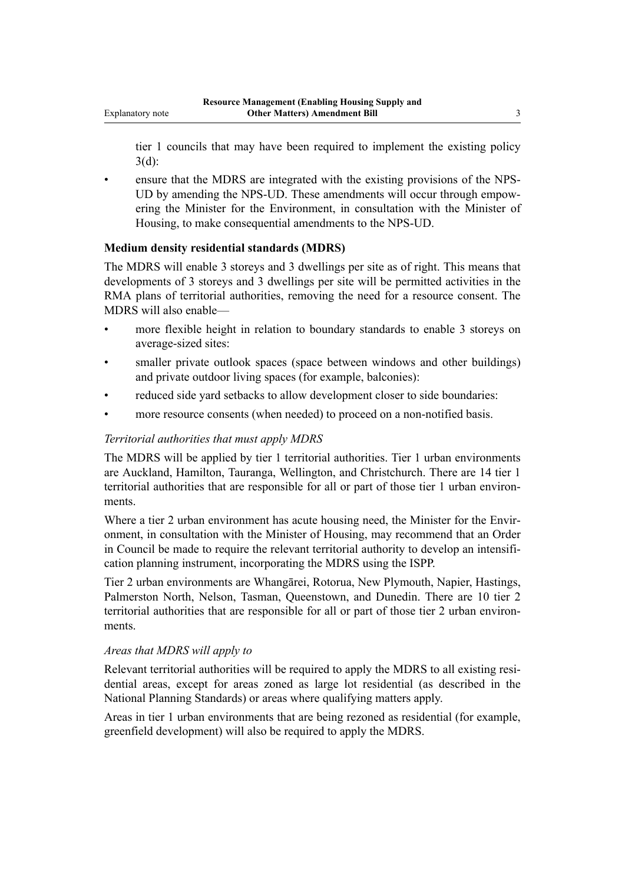tier 1 councils that may have been required to implement the existing policy 3(d):

ensure that the MDRS are integrated with the existing provisions of the NPS-UD by amending the NPS-UD. These amendments will occur through empowering the Minister for the Environment, in consultation with the Minister of Housing, to make consequential amendments to the NPS-UD.

#### **Medium density residential standards (MDRS)**

The MDRS will enable 3 storeys and 3 dwellings per site as of right. This means that developments of 3 storeys and 3 dwellings per site will be permitted activities in the RMA plans of territorial authorities, removing the need for a resource consent. The MDRS will also enable—

- more flexible height in relation to boundary standards to enable 3 storeys on average-sized sites:
- smaller private outlook spaces (space between windows and other buildings) and private outdoor living spaces (for example, balconies):
- reduced side yard setbacks to allow development closer to side boundaries:
- more resource consents (when needed) to proceed on a non-notified basis.

#### *Territorial authorities that must apply MDRS*

The MDRS will be applied by tier 1 territorial authorities. Tier 1 urban environments are Auckland, Hamilton, Tauranga, Wellington, and Christchurch. There are 14 tier 1 territorial authorities that are responsible for all or part of those tier 1 urban environments.

Where a tier 2 urban environment has acute housing need, the Minister for the Environment, in consultation with the Minister of Housing, may recommend that an Order in Council be made to require the relevant territorial authority to develop an intensification planning instrument, incorporating the MDRS using the ISPP.

Tier 2 urban environments are Whangārei, Rotorua, New Plymouth, Napier, Hastings, Palmerston North, Nelson, Tasman, Queenstown, and Dunedin. There are 10 tier 2 territorial authorities that are responsible for all or part of those tier 2 urban environments.

#### *Areas that MDRS will apply to*

Relevant territorial authorities will be required to apply the MDRS to all existing residential areas, except for areas zoned as large lot residential (as described in the National Planning Standards) or areas where qualifying matters apply.

Areas in tier 1 urban environments that are being rezoned as residential (for example, greenfield development) will also be required to apply the MDRS.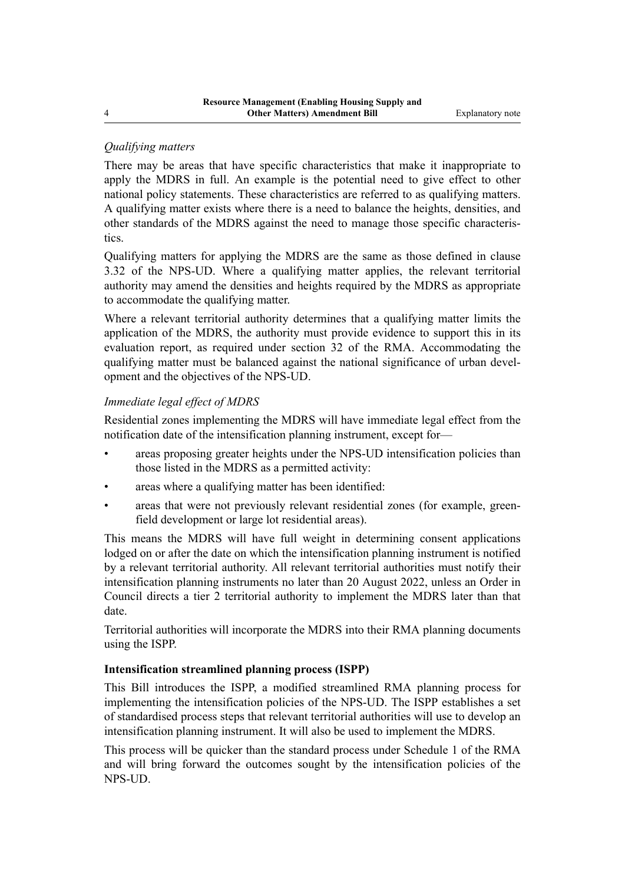#### *Qualifying matters*

There may be areas that have specific characteristics that make it inappropriate to apply the MDRS in full. An example is the potential need to give effect to other national policy statements. These characteristics are referred to as qualifying matters. A qualifying matter exists where there is a need to balance the heights, densities, and other standards of the MDRS against the need to manage those specific characteris‐ tics.

Qualifying matters for applying the MDRS are the same as those defined in clause 3.32 of the NPS-UD. Where a qualifying matter applies, the relevant territorial authority may amend the densities and heights required by the MDRS as appropriate to accommodate the qualifying matter.

Where a relevant territorial authority determines that a qualifying matter limits the application of the MDRS, the authority must provide evidence to support this in its evaluation report, as required under section 32 of the RMA. Accommodating the qualifying matter must be balanced against the national significance of urban development and the objectives of the NPS-UD.

#### *Immediate legal effect of MDRS*

Residential zones implementing the MDRS will have immediate legal effect from the notification date of the intensification planning instrument, except for—

- areas proposing greater heights under the NPS-UD intensification policies than those listed in the MDRS as a permitted activity:
- areas where a qualifying matter has been identified:
- areas that were not previously relevant residential zones (for example, greenfield development or large lot residential areas).

This means the MDRS will have full weight in determining consent applications lodged on or after the date on which the intensification planning instrument is notified by a relevant territorial authority. All relevant territorial authorities must notify their intensification planning instruments no later than 20 August 2022, unless an Order in Council directs a tier 2 territorial authority to implement the MDRS later than that date.

Territorial authorities will incorporate the MDRS into their RMA planning documents using the ISPP.

#### **Intensification streamlined planning process (ISPP)**

This Bill introduces the ISPP, a modified streamlined RMA planning process for implementing the intensification policies of the NPS-UD. The ISPP establishes a set of standardised process steps that relevant territorial authorities will use to develop an intensification planning instrument. It will also be used to implement the MDRS.

This process will be quicker than the standard process under Schedule 1 of the RMA and will bring forward the outcomes sought by the intensification policies of the NPS-UD.

4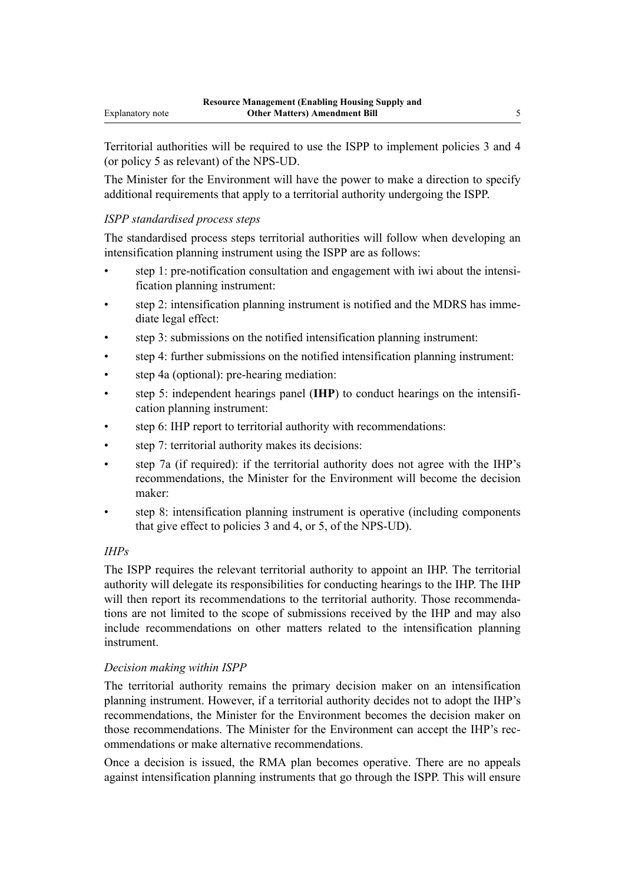Territorial authorities will be required to use the ISPP to implement policies 3 and 4 (or policy 5 as relevant) of the NPS-UD.

The Minister for the Environment will have the power to make a direction to specify additional requirements that apply to a territorial authority undergoing the ISPP.

#### *ISPP standardised process steps*

The standardised process steps territorial authorities will follow when developing an intensification planning instrument using the ISPP are as follows:

- step 1: pre-notification consultation and engagement with iwi about the intensi‐ fication planning instrument:
- step 2: intensification planning instrument is notified and the MDRS has immediate legal effect:
- step 3: submissions on the notified intensification planning instrument:
- step 4: further submissions on the notified intensification planning instrument:
- step 4a (optional): pre-hearing mediation:
- step 5: independent hearings panel (**IHP**) to conduct hearings on the intensification planning instrument:
- step 6: IHP report to territorial authority with recommendations:
- step 7: territorial authority makes its decisions:
- step 7a (if required): if the territorial authority does not agree with the IHP's recommendations, the Minister for the Environment will become the decision maker:
- step 8: intensification planning instrument is operative (including components that give effect to policies 3 and 4, or 5, of the NPS-UD).

#### *IHPs*

The ISPP requires the relevant territorial authority to appoint an IHP. The territorial authority will delegate its responsibilities for conducting hearings to the IHP. The IHP will then report its recommendations to the territorial authority. Those recommendations are not limited to the scope of submissions received by the IHP and may also include recommendations on other matters related to the intensification planning instrument.

#### *Decision making within ISPP*

The territorial authority remains the primary decision maker on an intensification planning instrument. However, if a territorial authority decides not to adopt the IHP's recommendations, the Minister for the Environment becomes the decision maker on those recommendations. The Minister for the Environment can accept the IHP's recommendations or make alternative recommendations.

Once a decision is issued, the RMA plan becomes operative. There are no appeals against intensification planning instruments that go through the ISPP. This will ensure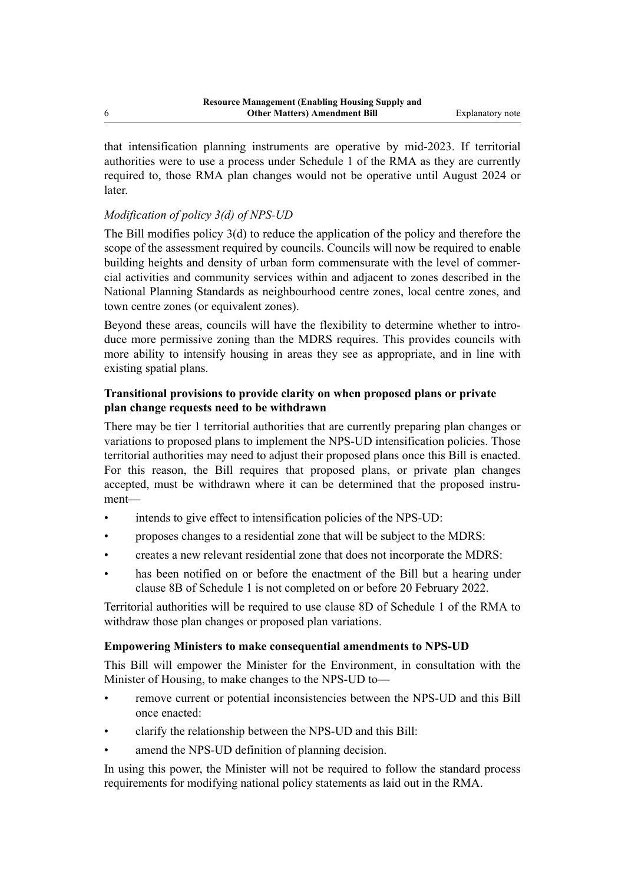that intensification planning instruments are operative by mid-2023. If territorial authorities were to use a process under Schedule 1 of the RMA as they are currently required to, those RMA plan changes would not be operative until August 2024 or later.

#### *Modification of policy 3(d) of NPS-UD*

The Bill modifies policy 3(d) to reduce the application of the policy and therefore the scope of the assessment required by councils. Councils will now be required to enable building heights and density of urban form commensurate with the level of commercial activities and community services within and adjacent to zones described in the National Planning Standards as neighbourhood centre zones, local centre zones, and town centre zones (or equivalent zones).

Beyond these areas, councils will have the flexibility to determine whether to introduce more permissive zoning than the MDRS requires. This provides councils with more ability to intensify housing in areas they see as appropriate, and in line with existing spatial plans.

#### **Transitional provisions to provide clarity on when proposed plans or private plan change requests need to be withdrawn**

There may be tier 1 territorial authorities that are currently preparing plan changes or variations to proposed plans to implement the NPS-UD intensification policies. Those territorial authorities may need to adjust their proposed plans once this Bill is enacted. For this reason, the Bill requires that proposed plans, or private plan changes accepted, must be withdrawn where it can be determined that the proposed instrument—

- intends to give effect to intensification policies of the NPS-UD:
- proposes changes to a residential zone that will be subject to the MDRS:
- creates a new relevant residential zone that does not incorporate the MDRS:
- has been notified on or before the enactment of the Bill but a hearing under clause 8B of Schedule 1 is not completed on or before 20 February 2022.

Territorial authorities will be required to use clause 8D of Schedule 1 of the RMA to withdraw those plan changes or proposed plan variations.

#### **Empowering Ministers to make consequential amendments to NPS-UD**

This Bill will empower the Minister for the Environment, in consultation with the Minister of Housing, to make changes to the NPS-UD to—

- remove current or potential inconsistencies between the NPS-UD and this Bill once enacted:
- clarify the relationship between the NPS-UD and this Bill:
- amend the NPS-UD definition of planning decision.

In using this power, the Minister will not be required to follow the standard process requirements for modifying national policy statements as laid out in the RMA.

6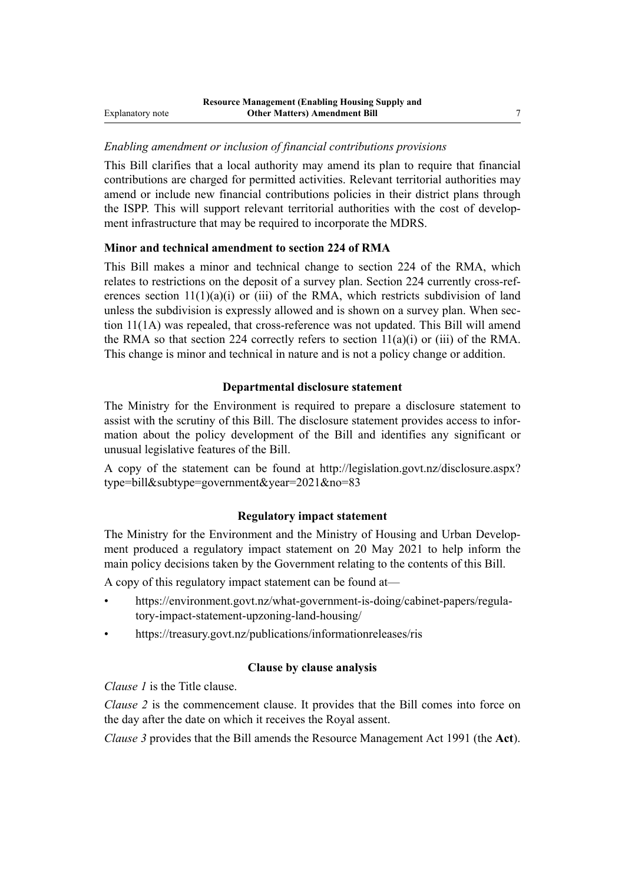#### *Enabling amendment or inclusion of financial contributions provisions*

This Bill clarifies that a local authority may amend its plan to require that financial contributions are charged for permitted activities. Relevant territorial authorities may amend or include new financial contributions policies in their district plans through the ISPP. This will support relevant territorial authorities with the cost of development infrastructure that may be required to incorporate the MDRS.

#### **Minor and technical amendment to section 224 of RMA**

This Bill makes a minor and technical change to section 224 of the RMA, which relates to restrictions on the deposit of a survey plan. Section 224 currently cross-references section  $11(1)(a)(i)$  or (iii) of the RMA, which restricts subdivision of land unless the subdivision is expressly allowed and is shown on a survey plan. When section 11(1A) was repealed, that cross-reference was not updated. This Bill will amend the RMA so that section 224 correctly refers to section  $11(a)(i)$  or (iii) of the RMA. This change is minor and technical in nature and is not a policy change or addition.

#### **Departmental disclosure statement**

The Ministry for the Environment is required to prepare a disclosure statement to assist with the scrutiny of this Bill. The disclosure statement provides access to infor‐ mation about the policy development of the Bill and identifies any significant or unusual legislative features of the Bill.

A copy of the statement can be found at [http://legislation.govt.nz/disclosure.aspx?](http://legislation.govt.nz/disclosure.aspx?type=bill&subtype=government&year=2021&no=83) [type=bill&subtype=government&year=2021&no=83](http://legislation.govt.nz/disclosure.aspx?type=bill&subtype=government&year=2021&no=83)

#### **Regulatory impact statement**

The Ministry for the Environment and the Ministry of Housing and Urban Develop‐ ment produced a regulatory impact statement on 20 May 2021 to help inform the main policy decisions taken by the Government relating to the contents of this Bill.

A copy of this regulatory impact statement can be found at—

- [https://environment.govt.nz/what-government-is-doing/cabinet-papers/regula‐](https://environment.govt.nz/what-government-is-doing/cabinet-papers/regulatory-impact-statement-upzoning-land-housing/) [tory-impact-statement-upzoning-land-housing/](https://environment.govt.nz/what-government-is-doing/cabinet-papers/regulatory-impact-statement-upzoning-land-housing/)
- [https://treasury.govt.nz/publications/informationreleases/ris](http://www.treasury.govt.nz/publications/informationreleases/ria)

#### **Clause by clause analysis**

*Clause 1* is the Title clause.

*Clause 2* is the commencement clause. It provides that the Bill comes into force on the day after the date on which it receives the Royal assent.

*Clause 3* provides that the Bill amends the Resource Management Act 1991 (the **Act**).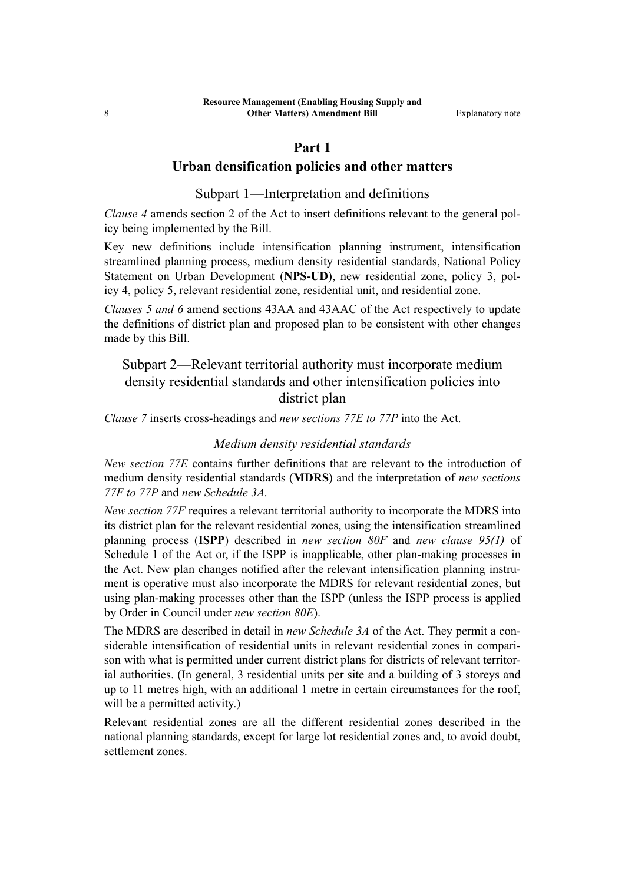#### **Part 1**

### **Urban densification policies and other matters**

Subpart 1—Interpretation and definitions

*Clause 4* amends section 2 of the Act to insert definitions relevant to the general policy being implemented by the Bill.

Key new definitions include intensification planning instrument, intensification streamlined planning process, medium density residential standards, National Policy Statement on Urban Development (NPS-UD), new residential zone, policy 3, policy 4, policy 5, relevant residential zone, residential unit, and residential zone.

*Clauses 5 and 6* amend sections 43AA and 43AAC of the Act respectively to update the definitions of district plan and proposed plan to be consistent with other changes made by this Bill.

### Subpart 2—Relevant territorial authority must incorporate medium density residential standards and other intensification policies into district plan

*Clause 7* inserts cross-headings and *new sections 77E to 77P* into the Act.

#### *Medium density residential standards*

*New section 77E* contains further definitions that are relevant to the introduction of medium density residential standards (**MDRS**) and the interpretation of *new sections 77F to 77P* and *new Schedule 3A*.

*New section 77F* requires a relevant territorial authority to incorporate the MDRS into its district plan for the relevant residential zones, using the intensification streamlined planning process (**ISPP**) described in *new section 80F* and *new clause 95(1)* of Schedule 1 of the Act or, if the ISPP is inapplicable, other plan-making processes in the Act. New plan changes notified after the relevant intensification planning instrument is operative must also incorporate the MDRS for relevant residential zones, but using plan-making processes other than the ISPP (unless the ISPP process is applied by Order in Council under *new section 80E*).

The MDRS are described in detail in *new Schedule 3A* of the Act. They permit a considerable intensification of residential units in relevant residential zones in compari‐ son with what is permitted under current district plans for districts of relevant territorial authorities. (In general, 3 residential units per site and a building of 3 storeys and up to 11 metres high, with an additional 1 metre in certain circumstances for the roof, will be a permitted activity.)

Relevant residential zones are all the different residential zones described in the national planning standards, except for large lot residential zones and, to avoid doubt, settlement zones.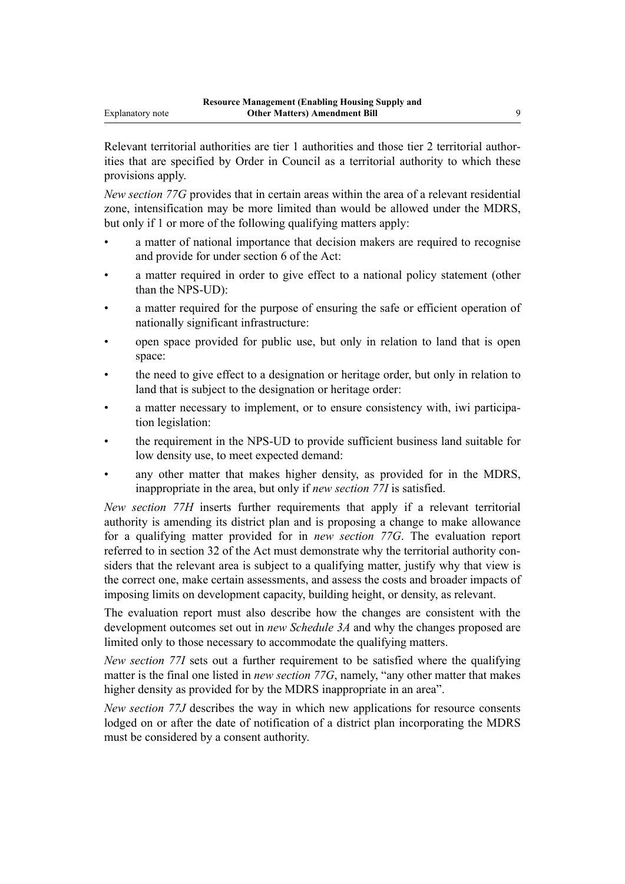Relevant territorial authorities are tier 1 authorities and those tier 2 territorial authorities that are specified by Order in Council as a territorial authority to which these provisions apply.

*New section 77G* provides that in certain areas within the area of a relevant residential zone, intensification may be more limited than would be allowed under the MDRS, but only if 1 or more of the following qualifying matters apply:

- a matter of national importance that decision makers are required to recognise and provide for under section 6 of the Act:
- a matter required in order to give effect to a national policy statement (other than the NPS-UD):
- a matter required for the purpose of ensuring the safe or efficient operation of nationally significant infrastructure:
- open space provided for public use, but only in relation to land that is open space:
- the need to give effect to a designation or heritage order, but only in relation to land that is subject to the designation or heritage order:
- a matter necessary to implement, or to ensure consistency with, iwi participation legislation:
- the requirement in the NPS-UD to provide sufficient business land suitable for low density use, to meet expected demand:
- any other matter that makes higher density, as provided for in the MDRS, inappropriate in the area, but only if *new section 77I* is satisfied.

*New section 77H* inserts further requirements that apply if a relevant territorial authority is amending its district plan and is proposing a change to make allowance for a qualifying matter provided for in *new section 77G*. The evaluation report referred to in section 32 of the Act must demonstrate why the territorial authority considers that the relevant area is subject to a qualifying matter, justify why that view is the correct one, make certain assessments, and assess the costs and broader impacts of imposing limits on development capacity, building height, or density, as relevant.

The evaluation report must also describe how the changes are consistent with the development outcomes set out in *new Schedule 3A* and why the changes proposed are limited only to those necessary to accommodate the qualifying matters.

*New section 77I* sets out a further requirement to be satisfied where the qualifying matter is the final one listed in *new section 77G*, namely, "any other matter that makes higher density as provided for by the MDRS inappropriate in an area".

*New section 77J* describes the way in which new applications for resource consents lodged on or after the date of notification of a district plan incorporating the MDRS must be considered by a consent authority.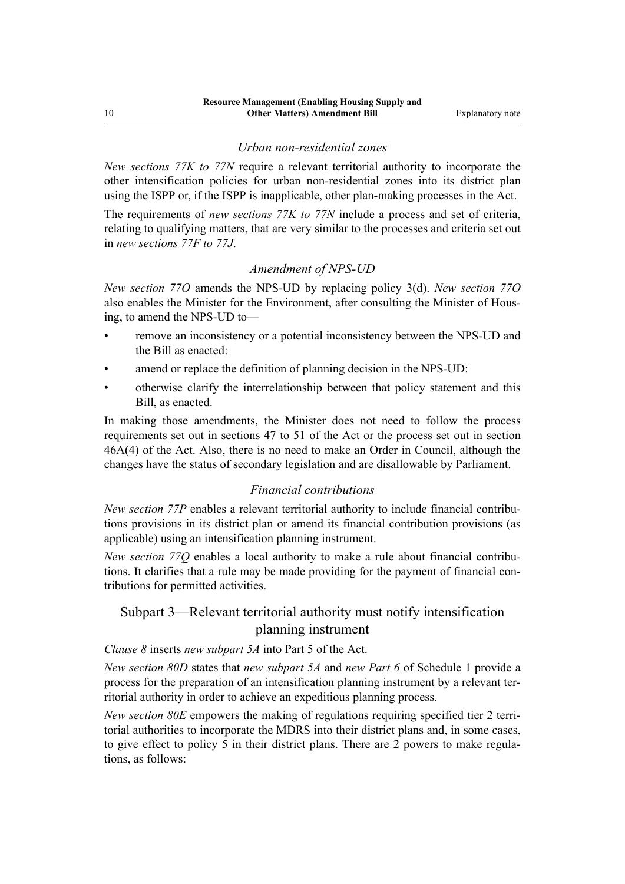#### *Urban non-residential zones*

*New sections 77K to 77N* require a relevant territorial authority to incorporate the other intensification policies for urban non-residential zones into its district plan using the ISPP or, if the ISPP is inapplicable, other plan-making processes in the Act.

The requirements of *new sections 77K to 77N* include a process and set of criteria, relating to qualifying matters, that are very similar to the processes and criteria set out in *new sections 77F to 77J*.

#### *Amendment of NPS-UD*

*New section 77O* amends the NPS-UD by replacing policy 3(d). *New section 77O* also enables the Minister for the Environment, after consulting the Minister of Hous‐ ing, to amend the NPS-UD to—

- remove an inconsistency or a potential inconsistency between the NPS-UD and the Bill as enacted:
- amend or replace the definition of planning decision in the NPS-UD:
- otherwise clarify the interrelationship between that policy statement and this Bill, as enacted.

In making those amendments, the Minister does not need to follow the process requirements set out in sections 47 to 51 of the Act or the process set out in section 46A(4) of the Act. Also, there is no need to make an Order in Council, although the changes have the status of secondary legislation and are disallowable by Parliament.

#### *Financial contributions*

*New section 77P* enables a relevant territorial authority to include financial contributions provisions in its district plan or amend its financial contribution provisions (as applicable) using an intensification planning instrument.

*New section 77Q* enables a local authority to make a rule about financial contribu‐ tions. It clarifies that a rule may be made providing for the payment of financial contributions for permitted activities.

#### Subpart 3—Relevant territorial authority must notify intensification planning instrument

#### *Clause 8* inserts *new subpart 5A* into Part 5 of the Act.

*New section 80D* states that *new subpart 5A* and *new Part 6* of Schedule 1 provide a process for the preparation of an intensification planning instrument by a relevant ter‐ ritorial authority in order to achieve an expeditious planning process.

*New section 80E* empowers the making of regulations requiring specified tier 2 territorial authorities to incorporate the MDRS into their district plans and, in some cases, to give effect to policy 5 in their district plans. There are 2 powers to make regulations, as follows: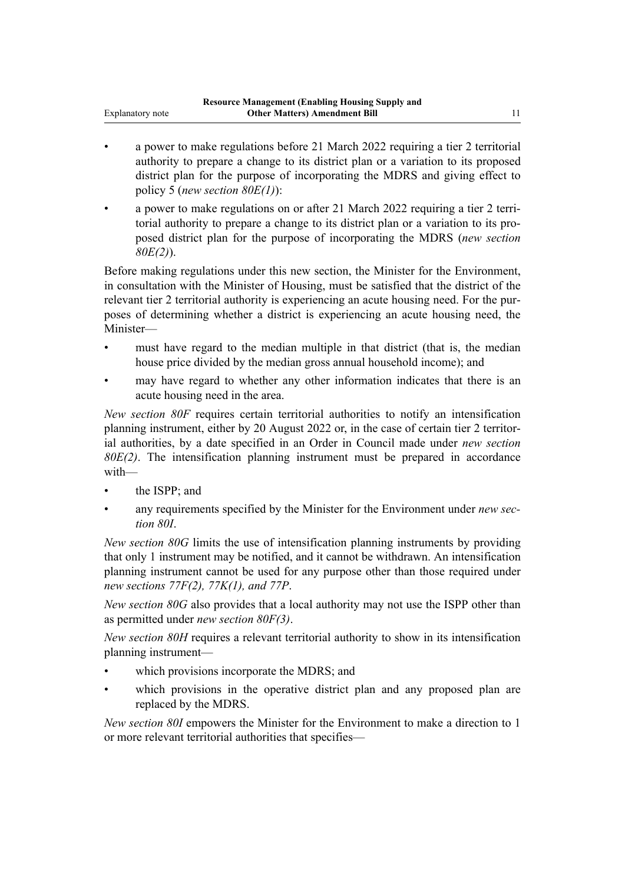- a power to make regulations before 21 March 2022 requiring a tier 2 territorial authority to prepare a change to its district plan or a variation to its proposed district plan for the purpose of incorporating the MDRS and giving effect to policy 5 (*new section 80E(1)*):
- a power to make regulations on or after 21 March 2022 requiring a tier 2 territorial authority to prepare a change to its district plan or a variation to its pro‐ posed district plan for the purpose of incorporating the MDRS (*new section 80E(2)*).

Before making regulations under this new section, the Minister for the Environment, in consultation with the Minister of Housing, must be satisfied that the district of the relevant tier 2 territorial authority is experiencing an acute housing need. For the pur‐ poses of determining whether a district is experiencing an acute housing need, the Minister—

- must have regard to the median multiple in that district (that is, the median house price divided by the median gross annual household income); and
- may have regard to whether any other information indicates that there is an acute housing need in the area.

*New section 80F* requires certain territorial authorities to notify an intensification planning instrument, either by 20 August 2022 or, in the case of certain tier 2 territor‐ ial authorities, by a date specified in an Order in Council made under *new section 80E(2)*. The intensification planning instrument must be prepared in accordance with—

- the ISPP: and
- any requirements specified by the Minister for the Environment under *new sec‐ tion 80I*.

*New section 80G* limits the use of intensification planning instruments by providing that only 1 instrument may be notified, and it cannot be withdrawn. An intensification planning instrument cannot be used for any purpose other than those required under *new sections 77F(2), 77K(1), and 77P*.

*New section 80G* also provides that a local authority may not use the ISPP other than as permitted under *new section 80F(3)*.

*New section 80H* requires a relevant territorial authority to show in its intensification planning instrument—

- which provisions incorporate the MDRS; and
- which provisions in the operative district plan and any proposed plan are replaced by the MDRS.

*New section 80I* empowers the Minister for the Environment to make a direction to 1 or more relevant territorial authorities that specifies—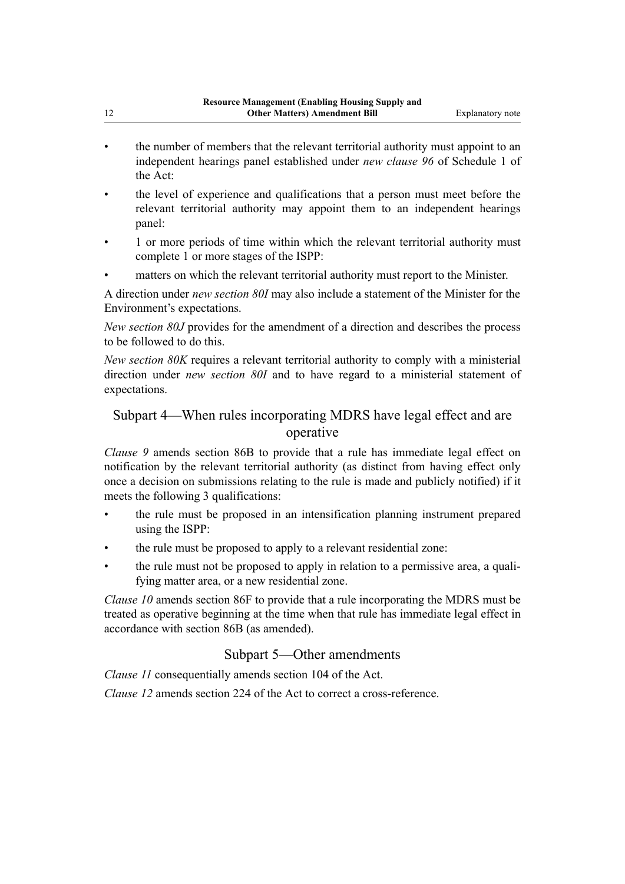- the number of members that the relevant territorial authority must appoint to an independent hearings panel established under *new clause 96* of Schedule 1 of the Act:
- the level of experience and qualifications that a person must meet before the relevant territorial authority may appoint them to an independent hearings panel:
- 1 or more periods of time within which the relevant territorial authority must complete 1 or more stages of the ISPP:
- matters on which the relevant territorial authority must report to the Minister.

A direction under *new section 80I* may also include a statement of the Minister for the Environment's expectations.

*New section 80J* provides for the amendment of a direction and describes the process to be followed to do this.

*New section 80K* requires a relevant territorial authority to comply with a ministerial direction under *new section 80I* and to have regard to a ministerial statement of expectations.

### Subpart 4—When rules incorporating MDRS have legal effect and are operative

*Clause 9* amends section 86B to provide that a rule has immediate legal effect on notification by the relevant territorial authority (as distinct from having effect only once a decision on submissions relating to the rule is made and publicly notified) if it meets the following 3 qualifications:

- the rule must be proposed in an intensification planning instrument prepared using the ISPP:
- the rule must be proposed to apply to a relevant residential zone:
- the rule must not be proposed to apply in relation to a permissive area, a qualifying matter area, or a new residential zone.

*Clause 10* amends section 86F to provide that a rule incorporating the MDRS must be treated as operative beginning at the time when that rule has immediate legal effect in accordance with section 86B (as amended).

#### Subpart 5—Other amendments

*Clause 11* consequentially amends section 104 of the Act.

*Clause 12* amends section 224 of the Act to correct a cross-reference.

12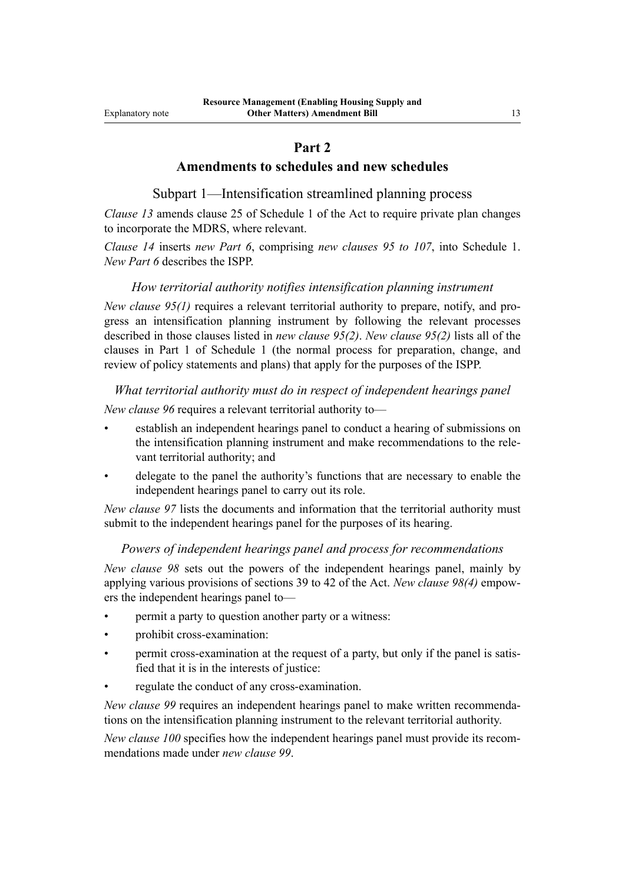#### **Part 2**

#### **Amendments to schedules and new schedules**

Subpart 1—Intensification streamlined planning process

*Clause 13* amends clause 25 of Schedule 1 of the Act to require private plan changes to incorporate the MDRS, where relevant.

*Clause 14* inserts *new Part 6*, comprising *new clauses 95 to 107*, into Schedule 1. *New Part 6* describes the ISPP.

#### *How territorial authority notifies intensification planning instrument*

*New clause 95(1)* requires a relevant territorial authority to prepare, notify, and progress an intensification planning instrument by following the relevant processes described in those clauses listed in *new clause 95(2)*. *New clause 95(2)* lists all of the clauses in Part 1 of Schedule 1 (the normal process for preparation, change, and review of policy statements and plans) that apply for the purposes of the ISPP.

#### *What territorial authority must do in respect of independent hearings panel*

*New clause 96* requires a relevant territorial authority to—

- establish an independent hearings panel to conduct a hearing of submissions on the intensification planning instrument and make recommendations to the rele‐ vant territorial authority; and
- delegate to the panel the authority's functions that are necessary to enable the independent hearings panel to carry out its role.

*New clause 97* lists the documents and information that the territorial authority must submit to the independent hearings panel for the purposes of its hearing.

#### *Powers of independent hearings panel and process for recommendations*

*New clause 98* sets out the powers of the independent hearings panel, mainly by applying various provisions of sections 39 to 42 of the Act. *New clause 98(4)* empow‐ ers the independent hearings panel to—

- permit a party to question another party or a witness:
- prohibit cross-examination:
- permit cross-examination at the request of a party, but only if the panel is satisfied that it is in the interests of justice:
- regulate the conduct of any cross-examination.

*New clause 99* requires an independent hearings panel to make written recommendations on the intensification planning instrument to the relevant territorial authority.

*New clause 100* specifies how the independent hearings panel must provide its recommendations made under *new clause 99*.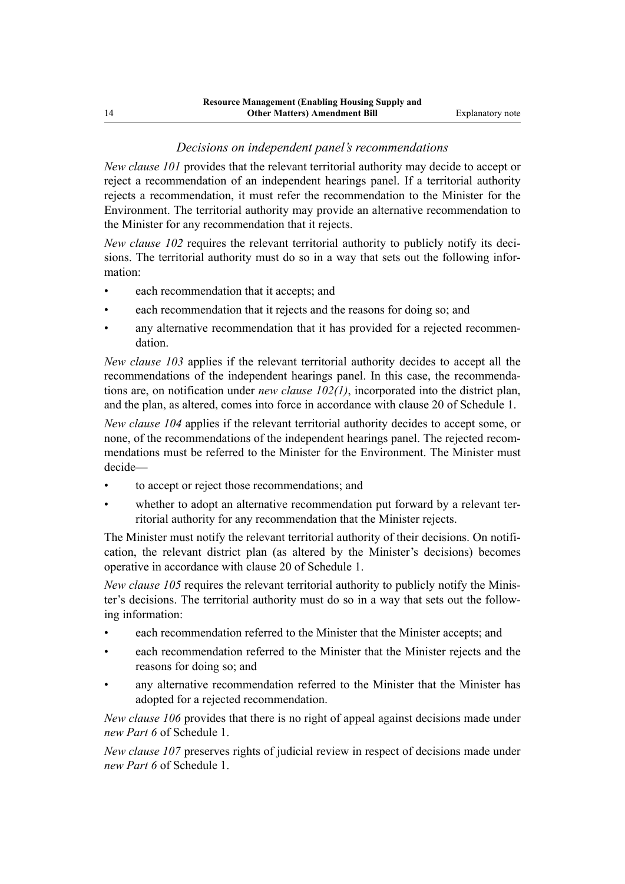#### *Decisions on independent panel's recommendations*

*New clause 101* provides that the relevant territorial authority may decide to accept or reject a recommendation of an independent hearings panel. If a territorial authority rejects a recommendation, it must refer the recommendation to the Minister for the Environment. The territorial authority may provide an alternative recommendation to the Minister for any recommendation that it rejects.

*New clause 102* requires the relevant territorial authority to publicly notify its decisions. The territorial authority must do so in a way that sets out the following information:

- each recommendation that it accepts; and
- each recommendation that it rejects and the reasons for doing so; and
- any alternative recommendation that it has provided for a rejected recommendation.

*New clause 103* applies if the relevant territorial authority decides to accept all the recommendations of the independent hearings panel. In this case, the recommendations are, on notification under *new clause 102(1)*, incorporated into the district plan, and the plan, as altered, comes into force in accordance with clause 20 of Schedule 1.

*New clause 104* applies if the relevant territorial authority decides to accept some, or none, of the recommendations of the independent hearings panel. The rejected recommendations must be referred to the Minister for the Environment. The Minister must decide—

- to accept or reject those recommendations; and
- whether to adopt an alternative recommendation put forward by a relevant territorial authority for any recommendation that the Minister rejects.

The Minister must notify the relevant territorial authority of their decisions. On notification, the relevant district plan (as altered by the Minister's decisions) becomes operative in accordance with clause 20 of Schedule 1.

*New clause 105* requires the relevant territorial authority to publicly notify the Minister's decisions. The territorial authority must do so in a way that sets out the follow‐ ing information:

- each recommendation referred to the Minister that the Minister accepts; and
- each recommendation referred to the Minister that the Minister rejects and the reasons for doing so; and
- any alternative recommendation referred to the Minister that the Minister has adopted for a rejected recommendation.

*New clause 106* provides that there is no right of appeal against decisions made under *new Part 6* of Schedule 1.

*New clause 107* preserves rights of judicial review in respect of decisions made under *new Part 6* of Schedule 1.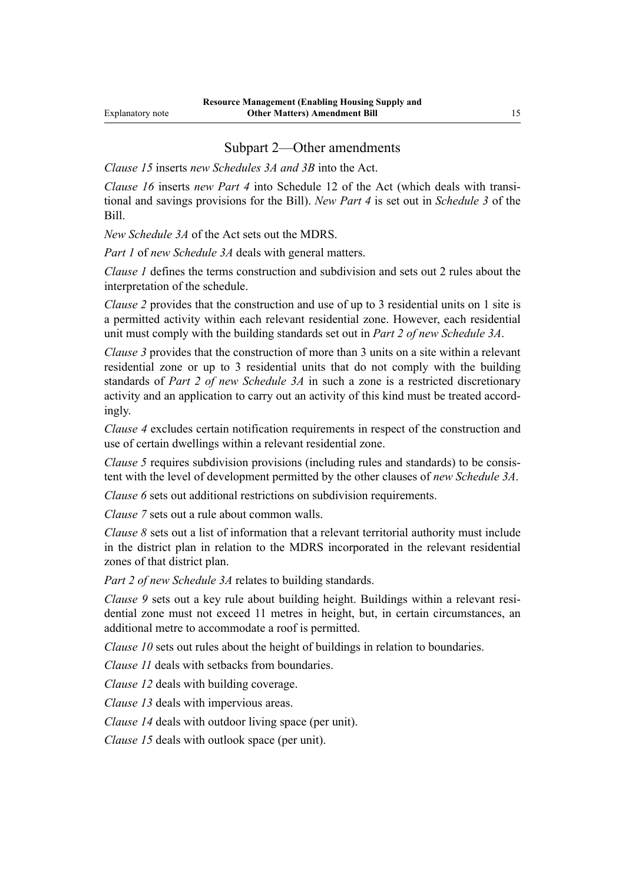#### Subpart 2—Other amendments

*Clause 15* inserts *new Schedules 3A and 3B* into the Act.

*Clause 16* inserts *new Part 4* into Schedule 12 of the Act (which deals with transitional and savings provisions for the Bill). *New Part 4* is set out in *Schedule 3* of the Bill.

*New Schedule 3A* of the Act sets out the MDRS.

*Part 1* of *new Schedule 3A* deals with general matters.

*Clause 1* defines the terms construction and subdivision and sets out 2 rules about the interpretation of the schedule.

*Clause 2* provides that the construction and use of up to 3 residential units on 1 site is a permitted activity within each relevant residential zone. However, each residential unit must comply with the building standards set out in *Part 2 of new Schedule 3A*.

*Clause 3* provides that the construction of more than 3 units on a site within a relevant residential zone or up to 3 residential units that do not comply with the building standards of *Part 2 of new Schedule 3A* in such a zone is a restricted discretionary activity and an application to carry out an activity of this kind must be treated accord‐ ingly.

*Clause 4* excludes certain notification requirements in respect of the construction and use of certain dwellings within a relevant residential zone.

*Clause 5* requires subdivision provisions (including rules and standards) to be consistent with the level of development permitted by the other clauses of *new Schedule 3A*.

*Clause 6* sets out additional restrictions on subdivision requirements.

*Clause 7* sets out a rule about common walls.

*Clause 8* sets out a list of information that a relevant territorial authority must include in the district plan in relation to the MDRS incorporated in the relevant residential zones of that district plan.

*Part 2 of new Schedule 3A* relates to building standards.

*Clause 9* sets out a key rule about building height. Buildings within a relevant residential zone must not exceed 11 metres in height, but, in certain circumstances, an additional metre to accommodate a roof is permitted.

*Clause 10* sets out rules about the height of buildings in relation to boundaries.

*Clause 11* deals with setbacks from boundaries.

*Clause 12* deals with building coverage.

*Clause 13* deals with impervious areas.

*Clause 14* deals with outdoor living space (per unit).

*Clause 15* deals with outlook space (per unit).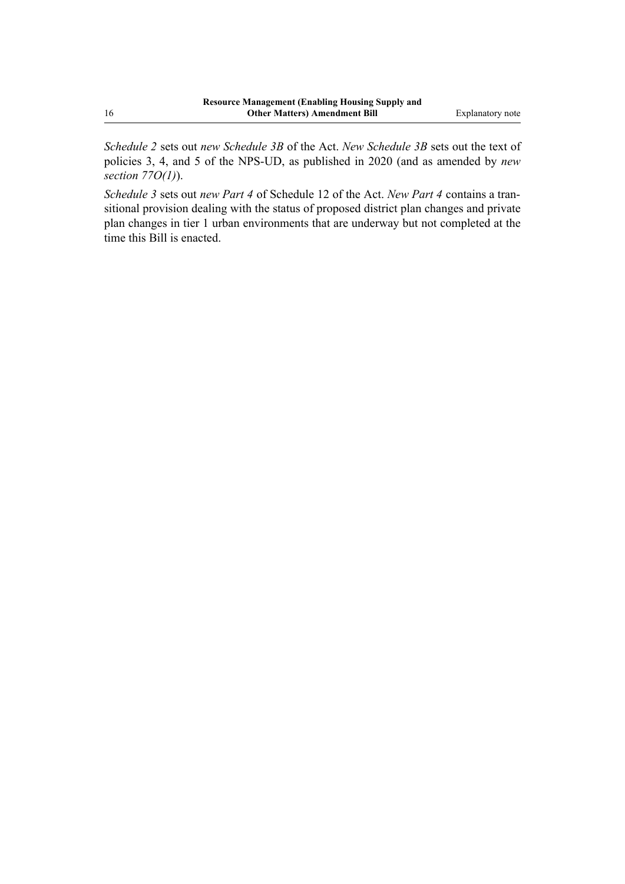*Schedule 2* sets out *new Schedule 3B* of the Act. *New Schedule 3B* sets out the text of policies 3, 4, and 5 of the NPS-UD, as published in 2020 (and as amended by *new section 77O(1)*).

*Schedule 3* sets out *new Part 4* of Schedule 12 of the Act. *New Part 4* contains a tran‐ sitional provision dealing with the status of proposed district plan changes and private plan changes in tier 1 urban environments that are underway but not completed at the time this Bill is enacted.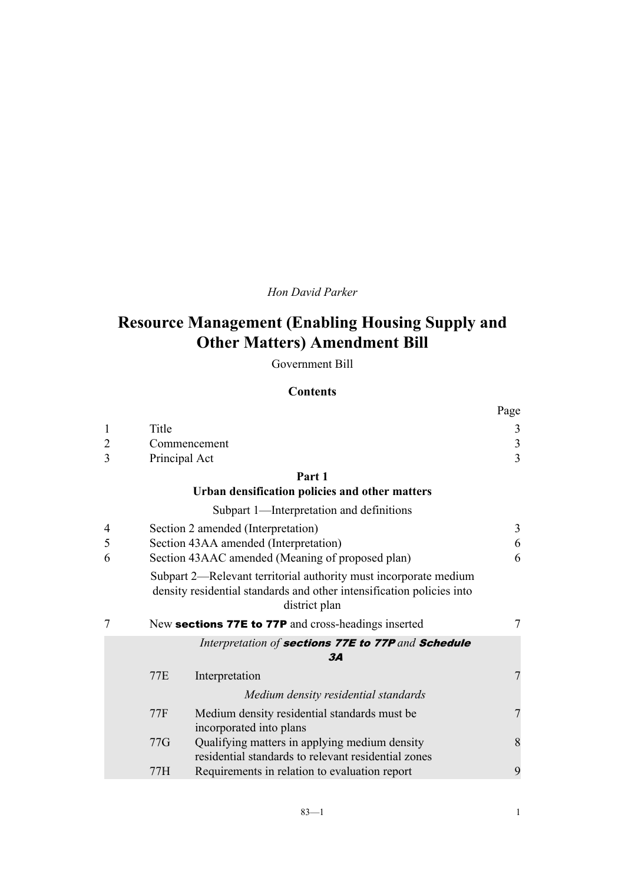#### *Hon David Parker*

## **Resource Management (Enabling Housing Supply and Other Matters) Amendment Bill**

Government Bill

#### **Contents**

|                |            |                                                                                                                                                            | Page                    |
|----------------|------------|------------------------------------------------------------------------------------------------------------------------------------------------------------|-------------------------|
| $\mathbf{1}$   | Title      |                                                                                                                                                            | 3                       |
| $\overline{c}$ |            | Commencement                                                                                                                                               | $\overline{\mathbf{3}}$ |
| 3              |            | Principal Act                                                                                                                                              | $\overline{3}$          |
|                |            | Part 1                                                                                                                                                     |                         |
|                |            | Urban densification policies and other matters                                                                                                             |                         |
|                |            | Subpart 1—Interpretation and definitions                                                                                                                   |                         |
| 4              |            | Section 2 amended (Interpretation)                                                                                                                         | 3                       |
| 5              |            | Section 43AA amended (Interpretation)                                                                                                                      | 6                       |
| 6              |            | Section 43AAC amended (Meaning of proposed plan)                                                                                                           | 6                       |
|                |            | Subpart 2—Relevant territorial authority must incorporate medium<br>density residential standards and other intensification policies into<br>district plan |                         |
| 7              |            | New sections 77E to 77P and cross-headings inserted                                                                                                        | 7                       |
|                |            | Interpretation of sections 77E to 77P and Schedule<br>3A                                                                                                   |                         |
|                | 77E        | Interpretation                                                                                                                                             | $\overline{7}$          |
|                |            | Medium density residential standards                                                                                                                       |                         |
|                | <b>77F</b> | Medium density residential standards must be                                                                                                               | $\overline{7}$          |
|                |            | incorporated into plans                                                                                                                                    |                         |
|                | 77G        | Qualifying matters in applying medium density<br>residential standards to relevant residential zones                                                       | 8                       |
|                | 77H        | Requirements in relation to evaluation report                                                                                                              | 9                       |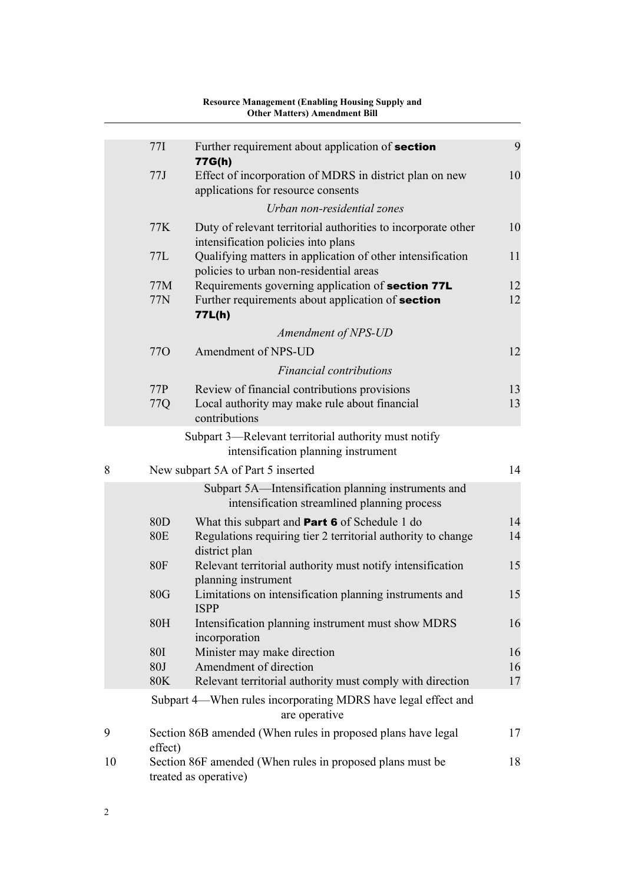|    |                               | <b>Other Matters) Amendment Bill</b>                                                                                                  |          |
|----|-------------------------------|---------------------------------------------------------------------------------------------------------------------------------------|----------|
|    |                               |                                                                                                                                       |          |
|    | 77I                           | Further requirement about application of section<br>77G(h)                                                                            | 9        |
|    | 77J                           | Effect of incorporation of MDRS in district plan on new                                                                               | 10       |
|    |                               | applications for resource consents                                                                                                    |          |
|    |                               | Urban non-residential zones                                                                                                           |          |
|    | 77K                           | Duty of relevant territorial authorities to incorporate other<br>intensification policies into plans                                  | 10       |
|    | 77L                           | Qualifying matters in application of other intensification<br>policies to urban non-residential areas                                 | 11       |
|    | 77M                           | Requirements governing application of section 77L                                                                                     | 12       |
|    | 77N                           | Further requirements about application of section<br>77L(h)                                                                           | 12       |
|    |                               | Amendment of NPS-UD                                                                                                                   |          |
|    | 77 <sub>O</sub>               | Amendment of NPS-UD                                                                                                                   | 12       |
|    |                               | <b>Financial contributions</b>                                                                                                        |          |
|    | 77P                           | Review of financial contributions provisions                                                                                          | 13       |
|    | 77Q                           | Local authority may make rule about financial<br>contributions                                                                        | 13       |
|    |                               | Subpart 3—Relevant territorial authority must notify<br>intensification planning instrument                                           |          |
| 8  |                               | New subpart 5A of Part 5 inserted                                                                                                     | 14       |
|    |                               | Subpart 5A—Intensification planning instruments and<br>intensification streamlined planning process                                   |          |
|    | 80 <sub>D</sub><br><b>80E</b> | What this subpart and <b>Part 6</b> of Schedule 1 do<br>Regulations requiring tier 2 territorial authority to change<br>district plan | 14<br>14 |
|    | <b>80F</b>                    | Relevant territorial authority must notify intensification<br>planning instrument                                                     | 15       |
|    | 80G                           | Limitations on intensification planning instruments and<br><b>ISPP</b>                                                                | 15       |
|    | 80H                           | Intensification planning instrument must show MDRS<br>incorporation                                                                   | 16       |
|    | <b>80I</b>                    | Minister may make direction                                                                                                           | 16       |
|    | 80J<br><b>80K</b>             | Amendment of direction                                                                                                                | 16<br>17 |
|    |                               | Relevant territorial authority must comply with direction                                                                             |          |
|    |                               | Subpart 4—When rules incorporating MDRS have legal effect and<br>are operative                                                        |          |
| 9  | effect)                       | Section 86B amended (When rules in proposed plans have legal                                                                          | 17       |
| 10 |                               | Section 86F amended (When rules in proposed plans must be<br>treated as operative)                                                    | 18       |

# **Resource Management (Enabling Housing Supply and**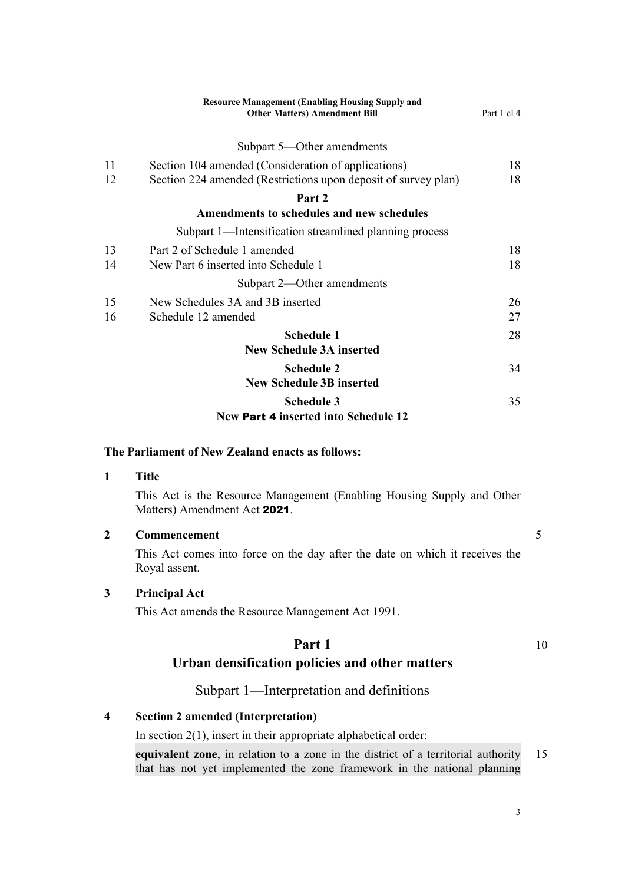<span id="page-18-0"></span>

|    | <b>Resource Management (Enabling Housing Supply and</b><br><b>Other Matters) Amendment Bill</b> | Part 1 cl 4 |
|----|-------------------------------------------------------------------------------------------------|-------------|
|    | Subpart 5—Other amendments                                                                      |             |
| 11 | Section 104 amended (Consideration of applications)                                             | 18          |
| 12 | Section 224 amended (Restrictions upon deposit of survey plan)                                  | 18          |
|    | Part 2                                                                                          |             |
|    | Amendments to schedules and new schedules                                                       |             |
|    | Subpart 1—Intensification streamlined planning process                                          |             |
| 13 | Part 2 of Schedule 1 amended                                                                    | 18          |
| 14 | New Part 6 inserted into Schedule 1                                                             | 18          |
|    | Subpart 2—Other amendments                                                                      |             |
| 15 | New Schedules 3A and 3B inserted                                                                | 26          |
| 16 | Schedule 12 amended                                                                             | 27          |
|    | <b>Schedule 1</b>                                                                               | 28          |
|    | <b>New Schedule 3A inserted</b>                                                                 |             |
|    | <b>Schedule 2</b>                                                                               | 34          |
|    | <b>New Schedule 3B inserted</b>                                                                 |             |
|    | <b>Schedule 3</b>                                                                               | 35          |
|    | New Part 4 inserted into Schedule 12                                                            |             |

#### **The Parliament of New Zealand enacts as follows:**

#### **1 Title**

This Act is the Resource Management (Enabling Housing Supply and Other Matters) Amendment Act 2021.

| Commencement |  |
|--------------|--|
|              |  |

This Act comes into force on the day after the date on which it receives the Royal assent.

#### **3 Principal Act**

This Act amends the Resource Management Act 1991.

## **Part 1** 10 **Urban densification policies and other matters**

#### Subpart 1—Interpretation and definitions

#### **4 Section 2 amended (Interpretation)**

In section  $2(1)$ , insert in their appropriate alphabetical order:

**equivalent zone**, in relation to a zone in the district of a territorial authority 15 that has not yet implemented the zone framework in the national planning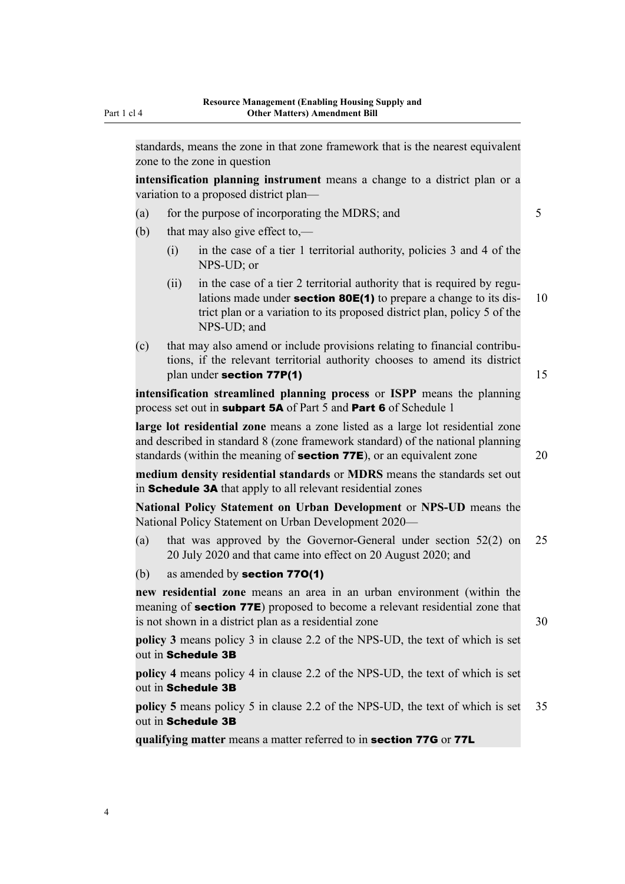standards, means the zone in that zone framework that is the nearest equivalent zone to the zone in question

**intensification planning instrument** means a change to a district plan or a variation to a proposed district plan—

- (a) for the purpose of incorporating the MDRS; and  $5$
- (b) that may also give effect to,—
	- (i) in the case of a tier 1 territorial authority, policies 3 and 4 of the NPS-UD; or
	- $(ii)$  in the case of a tier 2 territorial authority that is required by regulations made under **section 80E(1)** to prepare a change to its dis-  $10$ trict plan or a variation to its proposed district plan, policy 5 of the NPS-UD; and
- (c) that may also amend or include provisions relating to financial contribu‐ tions, if the relevant territorial authority chooses to amend its district plan under section  $77P(1)$  15

**intensification streamlined planning process** or **ISPP** means the planning process set out in **subpart 5A** of Part 5 and Part 6 of Schedule 1

**large lot residential zone** means a zone listed as a large lot residential zone and described in standard 8 (zone framework standard) of the national planning standards (within the meaning of **section 77E**), or an equivalent zone 20

**medium density residential standards** or **MDRS** means the standards set out in Schedule 3A that apply to all relevant residential zones

**National Policy Statement on Urban Development** or **NPS-UD** means the National Policy Statement on Urban Development 2020—

- (a) that was approved by the Governor-General under section 52(2) on 25 20 July 2020 and that came into effect on 20 August 2020; and
- (b) as amended by section 77O(1)

**new residential zone** means an area in an urban environment (within the meaning of **section 77E**) proposed to become a relevant residential zone that is not shown in a district plan as a residential zone 30

**policy 3** means policy 3 in clause 2.2 of the NPS-UD, the text of which is set out in Schedule 3B

**policy 4** means policy 4 in clause 2.2 of the NPS-UD, the text of which is set out in Schedule 3B

**policy 5** means policy 5 in clause 2.2 of the NPS-UD, the text of which is set 35 out in Schedule 3B

**qualifying matter** means a matter referred to in section 77G or 77L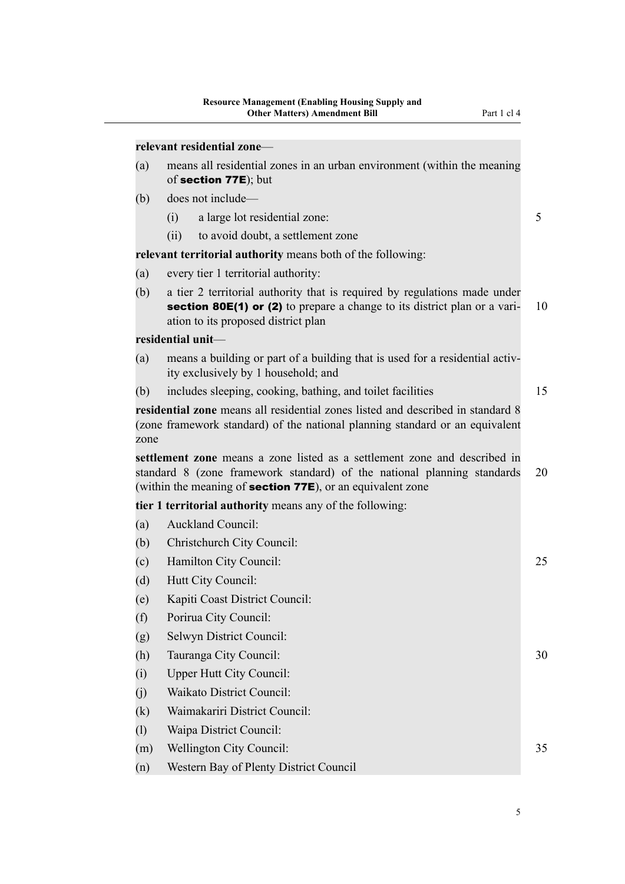|     |                   | relevant residential zone-                                                                      |  |
|-----|-------------------|-------------------------------------------------------------------------------------------------|--|
| (a) |                   | means all residential zones in an urban environment (within the meaning<br>of section 77E); but |  |
| (b) |                   | does not include—                                                                               |  |
|     | $\left( 1\right)$ | a large lot residential zone:                                                                   |  |
|     | (11)              | to avoid doubt, a settlement zone                                                               |  |
|     |                   | <b>relevant territorial authority</b> means both of the following:                              |  |
| (a) |                   | every tier 1 territorial authority:                                                             |  |
|     |                   |                                                                                                 |  |

(b) a tier 2 territorial authority that is required by regulations made under section 80 $E(1)$  or (2) to prepare a change to its district plan or a vari- 10 ation to its proposed district plan

#### **residential unit**—

- (a) means a building or part of a building that is used for a residential activ‐ ity exclusively by 1 household; and
- (b) includes sleeping, cooking, bathing, and toilet facilities 15

**residential zone** means all residential zones listed and described in standard 8 (zone framework standard) of the national planning standard or an equivalent zone

**settlement zone** means a zone listed as a settlement zone and described in standard 8 (zone framework standard) of the national planning standards 20 (within the meaning of section 77E), or an equivalent zone

**tier 1 territorial authority** means any of the following:

- (a) Auckland Council:
- (b) Christchurch City Council:
- (c) Hamilton City Council: 25
- (d) Hutt City Council:
- (e) Kapiti Coast District Council:
- (f) Porirua City Council:
- (g) Selwyn District Council:
- (h) Tauranga City Council: 30
- (i) Upper Hutt City Council:
- (j) Waikato District Council:
- (k) Waimakariri District Council:
- (l) Waipa District Council:
- (m) Wellington City Council: 35
- (n) Western Bay of Plenty District Council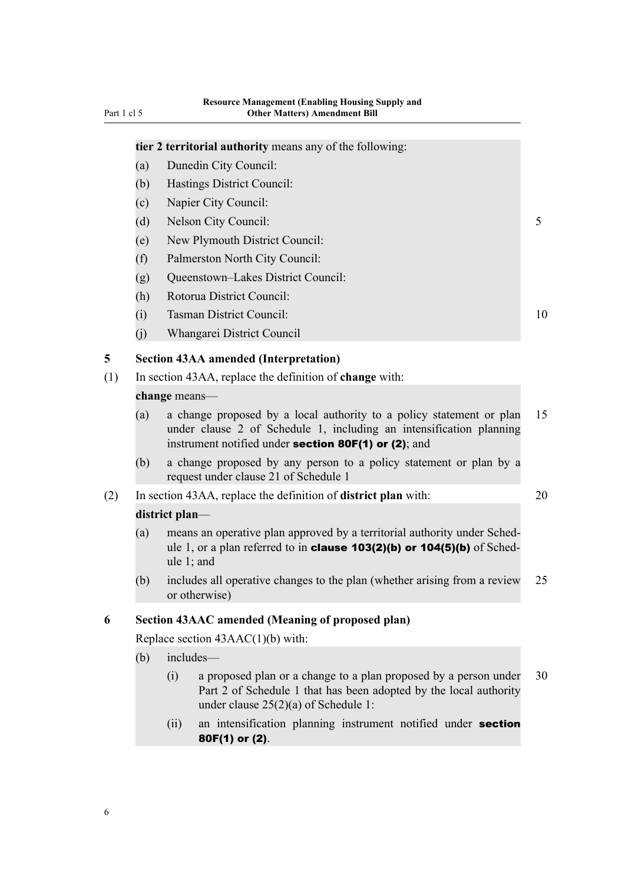## <span id="page-21-0"></span>**tier 2 territorial authority** means any of the following: (a) Dunedin City Council: (b) Hastings District Council: (c) Napier City Council: (d) Nelson City Council: 5 (e) New Plymouth District Council: (f) Palmerston North City Council: (g) Queenstown–Lakes District Council: (h) Rotorua District Council: (i) Tasman District Council: 10 (j) Whangarei District Council **5 Section 43AA amended (Interpretation)** (1) In section 43AA, replace the definition of **change** with: **change** means— (a) a change proposed by a local authority to a policy statement or plan 15 under clause 2 of Schedule 1, including an intensification planning instrument notified under section 80F(1) or (2); and (b) a change proposed by any person to a policy statement or plan by a request under clause 21 of Schedule 1 (2) In section 43AA, replace the definition of **district plan** with: 20 **district plan**— (a) means an operative plan approved by a territorial authority under Sched‐ ule 1, or a plan referred to in **clause 103(2)(b) or 104(5)(b)** of Schedule 1; and (b) includes all operative changes to the plan (whether arising from a review 25 or otherwise) **6 Section 43AAC amended (Meaning of proposed plan)** Replace section 43AAC(1)(b) with: (b) includes— (i) a proposed plan or a change to a plan proposed by a person under 30 Part 2 of Schedule 1 that has been adopted by the local authority under clause 25(2)(a) of Schedule 1:

(ii) an intensification planning instrument notified under **section** 80F(1) or (2).

6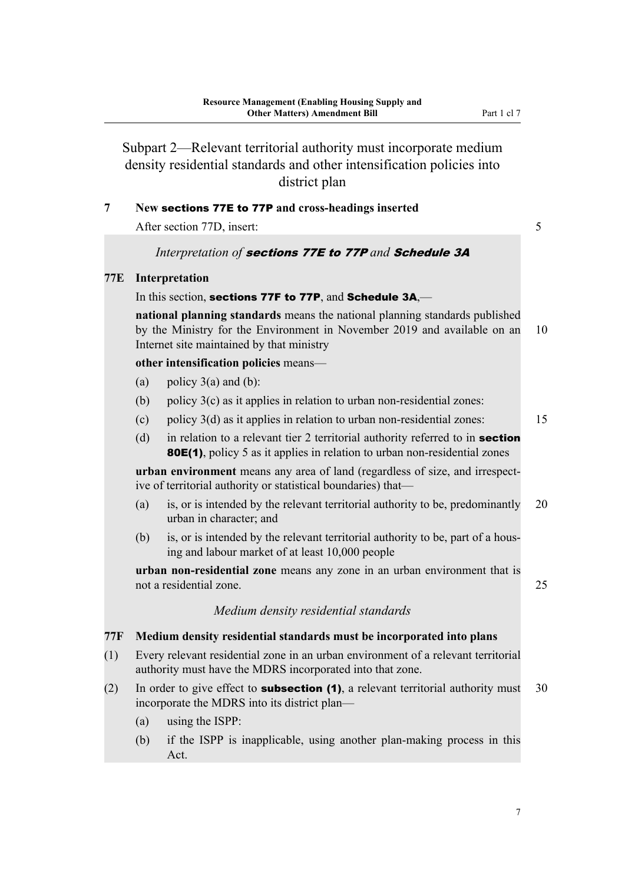<span id="page-22-0"></span>Subpart 2—Relevant territorial authority must incorporate medium density residential standards and other intensification policies into district plan

#### **7 New** sections 77E to 77P **and cross-headings inserted**

After section 77D, insert: 5

#### *Interpretation of* sections 77E to 77P *and* Schedule 3A

#### **77E Interpretation**

#### In this section, sections 77F to 77P, and Schedule 3A,—

**national planning standards** means the national planning standards published by the Ministry for the Environment in November 2019 and available on an 10 Internet site maintained by that ministry

**other intensification policies** means—

- (a) policy  $3(a)$  and (b):
- (b) policy  $3(c)$  as it applies in relation to urban non-residential zones:
- (c) policy 3(d) as it applies in relation to urban non-residential zones: 15
- (d) in relation to a relevant tier 2 territorial authority referred to in **section** 80E(1), policy 5 as it applies in relation to urban non-residential zones

urban environment means any area of land (regardless of size, and irrespective of territorial authority or statistical boundaries) that—

- (a) is, or is intended by the relevant territorial authority to be, predominantly 20 urban in character; and
- (b) is, or is intended by the relevant territorial authority to be, part of a housing and labour market of at least 10,000 people

**urban non-residential zone** means any zone in an urban environment that is not a residential zone. 25

#### *Medium density residential standards*

#### **77F Medium density residential standards must be incorporated into plans**

- (1) Every relevant residential zone in an urban environment of a relevant territorial authority must have the MDRS incorporated into that zone.
- (2) In order to give effect to **subsection (1)**, a relevant territorial authority must 30 incorporate the MDRS into its district plan—
	- (a) using the ISPP:
	- (b) if the ISPP is inapplicable, using another plan-making process in this Act.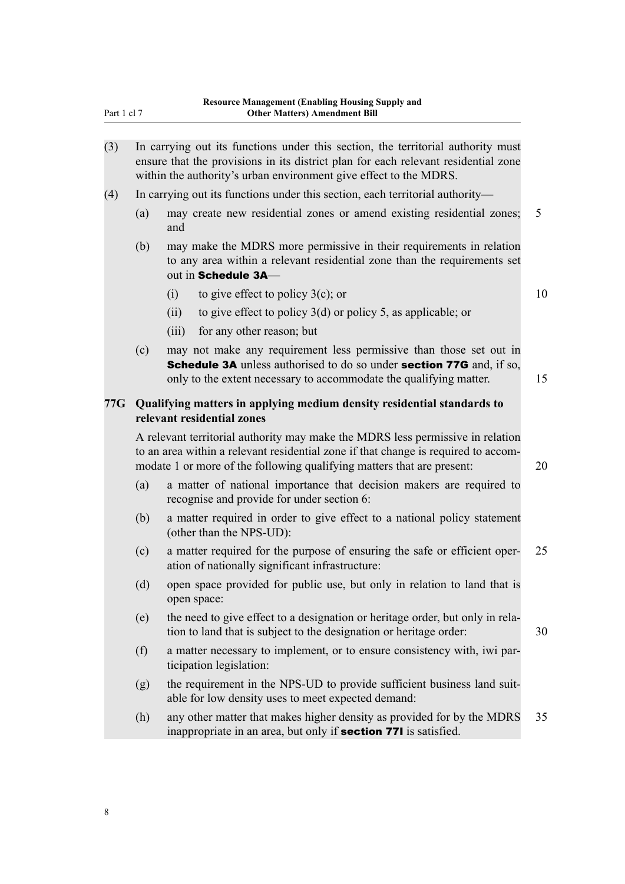<span id="page-23-0"></span>

| (3) | In carrying out its functions under this section, the territorial authority must   |
|-----|------------------------------------------------------------------------------------|
|     | ensure that the provisions in its district plan for each relevant residential zone |
|     | within the authority's urban environment give effect to the MDRS.                  |

- (4) In carrying out its functions under this section, each territorial authority—
	- (a) may create new residential zones or amend existing residential zones; 5 and
	- (b) may make the MDRS more permissive in their requirements in relation to any area within a relevant residential zone than the requirements set out in Schedule 3A—
		- (i) to give effect to policy  $3(c)$ ; or 10
		- (ii) to give effect to policy 3(d) or policy 5, as applicable; or
		- (iii) for any other reason; but
	- (c) may not make any requirement less permissive than those set out in **Schedule 3A** unless authorised to do so under **section 77G** and, if so, only to the extent necessary to accommodate the qualifying matter. 15

#### **77G Qualifying matters in applying medium density residential standards to relevant residential zones**

A relevant territorial authority may make the MDRS less permissive in relation to an area within a relevant residential zone if that change is required to accommodate 1 or more of the following qualifying matters that are present: 20

- (a) a matter of national importance that decision makers are required to recognise and provide for under section 6:
- (b) a matter required in order to give effect to a national policy statement (other than the NPS-UD):
- (c) a matter required for the purpose of ensuring the safe or efficient oper‐ 25 ation of nationally significant infrastructure:
- (d) open space provided for public use, but only in relation to land that is open space:
- (e) the need to give effect to a designation or heritage order, but only in rela‐ tion to land that is subject to the designation or heritage order: 30
- (f) a matter necessary to implement, or to ensure consistency with, iwi par‐ ticipation legislation:
- (g) the requirement in the NPS-UD to provide sufficient business land suitable for low density uses to meet expected demand:
- (h) any other matter that makes higher density as provided for by the MDRS 35 inappropriate in an area, but only if section 77I is satisfied.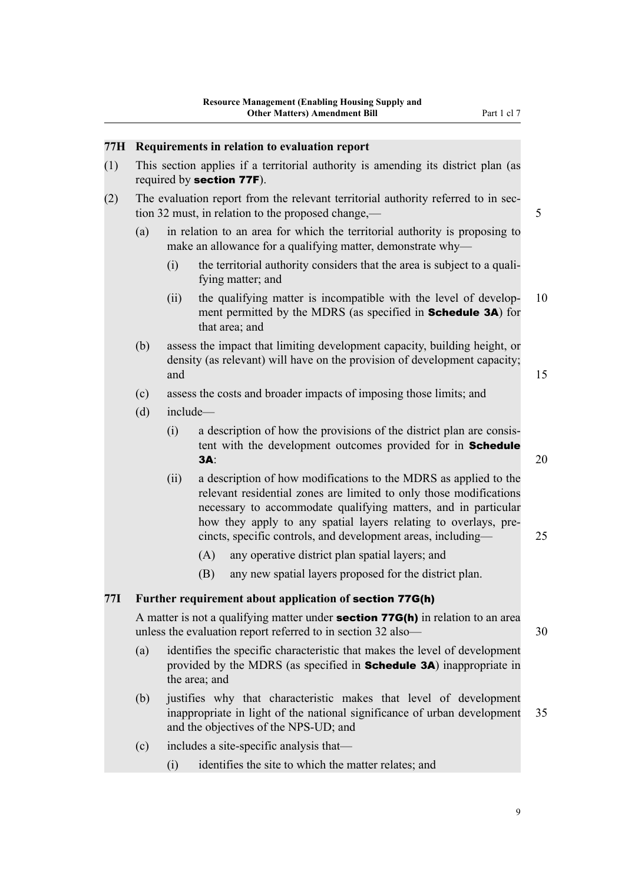<span id="page-24-0"></span>

| (1)<br>This section applies if a territorial authority is amending its district plan (as<br>required by section 77F).<br>The evaluation report from the relevant territorial authority referred to in sec-<br>(2)<br>tion 32 must, in relation to the proposed change,—<br>(a)<br>in relation to an area for which the territorial authority is proposing to<br>make an allowance for a qualifying matter, demonstrate why-<br>the territorial authority considers that the area is subject to a quali-<br>(i)<br>fying matter; and<br>the qualifying matter is incompatible with the level of develop-<br>(ii)<br>ment permitted by the MDRS (as specified in <b>Schedule 3A</b> ) for<br>that area; and | 5  |
|-----------------------------------------------------------------------------------------------------------------------------------------------------------------------------------------------------------------------------------------------------------------------------------------------------------------------------------------------------------------------------------------------------------------------------------------------------------------------------------------------------------------------------------------------------------------------------------------------------------------------------------------------------------------------------------------------------------|----|
|                                                                                                                                                                                                                                                                                                                                                                                                                                                                                                                                                                                                                                                                                                           |    |
|                                                                                                                                                                                                                                                                                                                                                                                                                                                                                                                                                                                                                                                                                                           | 10 |
|                                                                                                                                                                                                                                                                                                                                                                                                                                                                                                                                                                                                                                                                                                           |    |
|                                                                                                                                                                                                                                                                                                                                                                                                                                                                                                                                                                                                                                                                                                           |    |
|                                                                                                                                                                                                                                                                                                                                                                                                                                                                                                                                                                                                                                                                                                           |    |
| (b)<br>assess the impact that limiting development capacity, building height, or<br>density (as relevant) will have on the provision of development capacity;<br>and                                                                                                                                                                                                                                                                                                                                                                                                                                                                                                                                      | 15 |
| (c)<br>assess the costs and broader impacts of imposing those limits; and                                                                                                                                                                                                                                                                                                                                                                                                                                                                                                                                                                                                                                 |    |
| (d)<br>include-                                                                                                                                                                                                                                                                                                                                                                                                                                                                                                                                                                                                                                                                                           |    |
| a description of how the provisions of the district plan are consis-<br>(i)<br>tent with the development outcomes provided for in Schedule<br><b>3A:</b>                                                                                                                                                                                                                                                                                                                                                                                                                                                                                                                                                  | 20 |
| a description of how modifications to the MDRS as applied to the<br>(ii)<br>relevant residential zones are limited to only those modifications<br>necessary to accommodate qualifying matters, and in particular<br>how they apply to any spatial layers relating to overlays, pre-<br>cincts, specific controls, and development areas, including-                                                                                                                                                                                                                                                                                                                                                       | 25 |
| (A)<br>any operative district plan spatial layers; and                                                                                                                                                                                                                                                                                                                                                                                                                                                                                                                                                                                                                                                    |    |
| (B)<br>any new spatial layers proposed for the district plan.                                                                                                                                                                                                                                                                                                                                                                                                                                                                                                                                                                                                                                             |    |
| 77I<br>Further requirement about application of section 77G(h)                                                                                                                                                                                                                                                                                                                                                                                                                                                                                                                                                                                                                                            |    |
| A matter is not a qualifying matter under <b>section 77G(h)</b> in relation to an area<br>unless the evaluation report referred to in section 32 also-                                                                                                                                                                                                                                                                                                                                                                                                                                                                                                                                                    | 30 |
| identifies the specific characteristic that makes the level of development<br>(a)<br>provided by the MDRS (as specified in <b>Schedule 3A</b> ) inappropriate in<br>the area; and                                                                                                                                                                                                                                                                                                                                                                                                                                                                                                                         |    |
| justifies why that characteristic makes that level of development<br>(b)<br>inappropriate in light of the national significance of urban development<br>and the objectives of the NPS-UD; and                                                                                                                                                                                                                                                                                                                                                                                                                                                                                                             | 35 |
|                                                                                                                                                                                                                                                                                                                                                                                                                                                                                                                                                                                                                                                                                                           |    |

(i) identifies the site to which the matter relates; and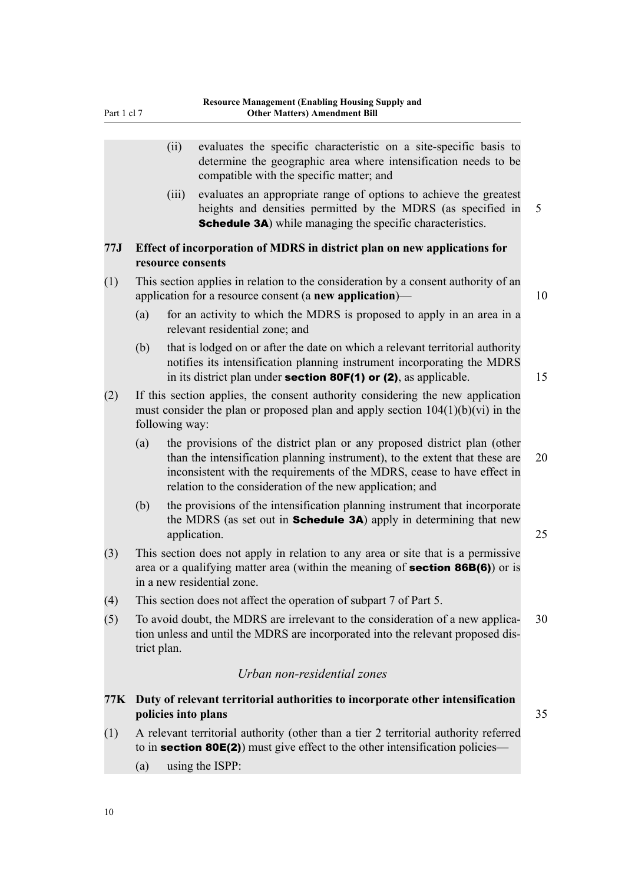- <span id="page-25-0"></span>(ii) evaluates the specific characteristic on a site-specific basis to determine the geographic area where intensification needs to be compatible with the specific matter; and
- (iii) evaluates an appropriate range of options to achieve the greatest heights and densities permitted by the MDRS (as specified in 5 **Schedule 3A**) while managing the specific characteristics.

#### **77J Effect of incorporation of MDRS in district plan on new applications for resource consents**

- (1) This section applies in relation to the consideration by a consent authority of an application for a resource consent (a **new application**)— 10
	- (a) for an activity to which the MDRS is proposed to apply in an area in a relevant residential zone; and
	- (b) that is lodged on or after the date on which a relevant territorial authority notifies its intensification planning instrument incorporating the MDRS in its district plan under **section 80F(1) or (2)**, as applicable.  $15$
- (2) If this section applies, the consent authority considering the new application must consider the plan or proposed plan and apply section  $104(1)(b)(vi)$  in the following way:
	- (a) the provisions of the district plan or any proposed district plan (other than the intensification planning instrument), to the extent that these are 20 inconsistent with the requirements of the MDRS, cease to have effect in relation to the consideration of the new application; and
	- (b) the provisions of the intensification planning instrument that incorporate the MDRS (as set out in **Schedule 3A**) apply in determining that new application. 25
- (3) This section does not apply in relation to any area or site that is a permissive area or a qualifying matter area (within the meaning of section 86B(6)) or is in a new residential zone.
- (4) This section does not affect the operation of subpart 7 of Part 5.
- (5) To avoid doubt, the MDRS are irrelevant to the consideration of a new applica- $30$ tion unless and until the MDRS are incorporated into the relevant proposed dis‐ trict plan.

#### *Urban non-residential zones*

#### **77K Duty of relevant territorial authorities to incorporate other intensification policies into plans** 35

- (1) A relevant territorial authority (other than a tier 2 territorial authority referred to in **section 80E(2)**) must give effect to the other intensification policies—
	- (a) using the ISPP: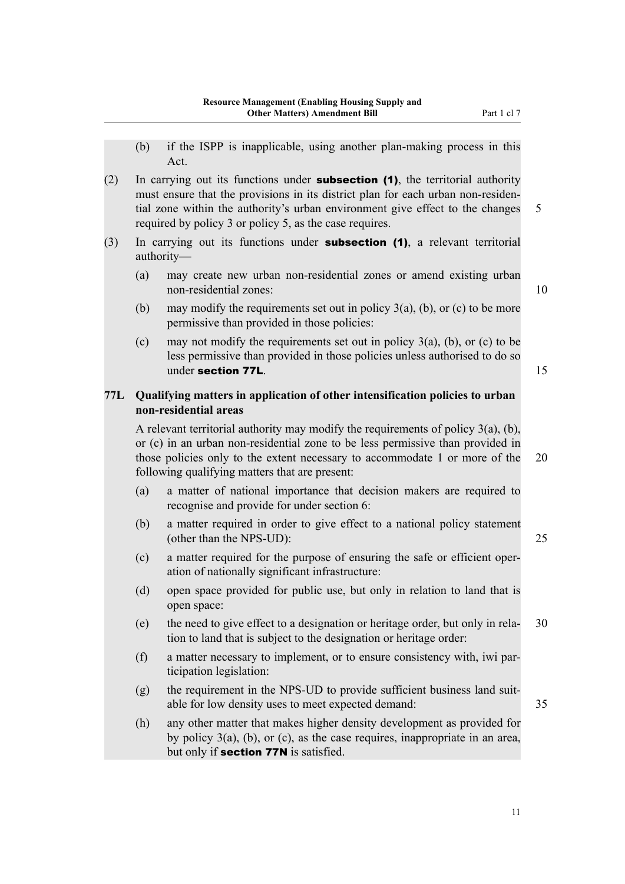<span id="page-26-0"></span>(2) In carrying out its functions under **subsection (1)**, the territorial authority must ensure that the provisions in its district plan for each urban non-residential zone within the authority's urban environment give effect to the changes 5 required by policy 3 or policy 5, as the case requires.

- (3) In carrying out its functions under subsection (1), a relevant territorial authority—
	- (a) may create new urban non-residential zones or amend existing urban non-residential zones: 10

- (b) may modify the requirements set out in policy  $3(a)$ , (b), or (c) to be more permissive than provided in those policies:
- (c) may not modify the requirements set out in policy  $3(a)$ , (b), or (c) to be less permissive than provided in those policies unless authorised to do so under section 77L. 15

#### **77L Qualifying matters in application of other intensification policies to urban non-residential areas**

A relevant territorial authority may modify the requirements of policy 3(a), (b), or (c) in an urban non-residential zone to be less permissive than provided in those policies only to the extent necessary to accommodate 1 or more of the 20 following qualifying matters that are present:

- (a) a matter of national importance that decision makers are required to recognise and provide for under section 6:
- (b) a matter required in order to give effect to a national policy statement (other than the NPS-UD): 25
- (c) a matter required for the purpose of ensuring the safe or efficient oper‐ ation of nationally significant infrastructure:
- (d) open space provided for public use, but only in relation to land that is open space:
- (e) the need to give effect to a designation or heritage order, but only in rela‐ 30 tion to land that is subject to the designation or heritage order:
- (f) a matter necessary to implement, or to ensure consistency with, iwi par‐ ticipation legislation:
- (g) the requirement in the NPS-UD to provide sufficient business land suitable for low density uses to meet expected demand: 35
- (h) any other matter that makes higher density development as provided for by policy 3(a), (b), or (c), as the case requires, inappropriate in an area, but only if **section 77N** is satisfied.

11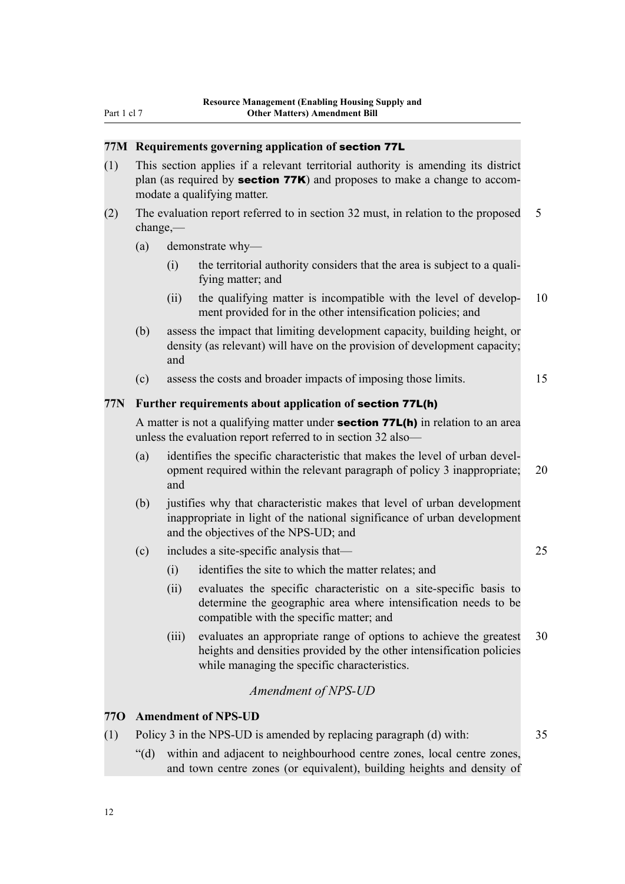#### <span id="page-27-0"></span>**77M Requirements governing application of** section 77L

- (1) This section applies if a relevant territorial authority is amending its district plan (as required by **section 77K)** and proposes to make a change to accommodate a qualifying matter.
- (2) The evaluation report referred to in section 32 must, in relation to the proposed 5 change,—
	- (a) demonstrate why—
		- $(i)$  the territorial authority considers that the area is subject to a qualifying matter; and
		- (ii) the qualifying matter is incompatible with the level of develop- 10 ment provided for in the other intensification policies; and
	- (b) assess the impact that limiting development capacity, building height, or density (as relevant) will have on the provision of development capacity; and
	- (c) assess the costs and broader impacts of imposing those limits. 15

#### **77N Further requirements about application of** section 77L(h)

A matter is not a qualifying matter under **section 77L(h)** in relation to an area unless the evaluation report referred to in section 32 also—

- (a) identifies the specific characteristic that makes the level of urban devel‐ opment required within the relevant paragraph of policy 3 inappropriate; 20 and
- (b) justifies why that characteristic makes that level of urban development inappropriate in light of the national significance of urban development and the objectives of the NPS-UD; and
- (c) includes a site-specific analysis that— 25
	- (i) identifies the site to which the matter relates; and
	- (ii) evaluates the specific characteristic on a site-specific basis to determine the geographic area where intensification needs to be compatible with the specific matter; and
	- (iii) evaluates an appropriate range of options to achieve the greatest 30 heights and densities provided by the other intensification policies while managing the specific characteristics.

#### *Amendment of NPS-UD*

#### **77O Amendment of NPS-UD**

- (1) Policy 3 in the NPS-UD is amended by replacing paragraph (d) with: 35
	- "(d) within and adjacent to neighbourhood centre zones, local centre zones, and town centre zones (or equivalent), building heights and density of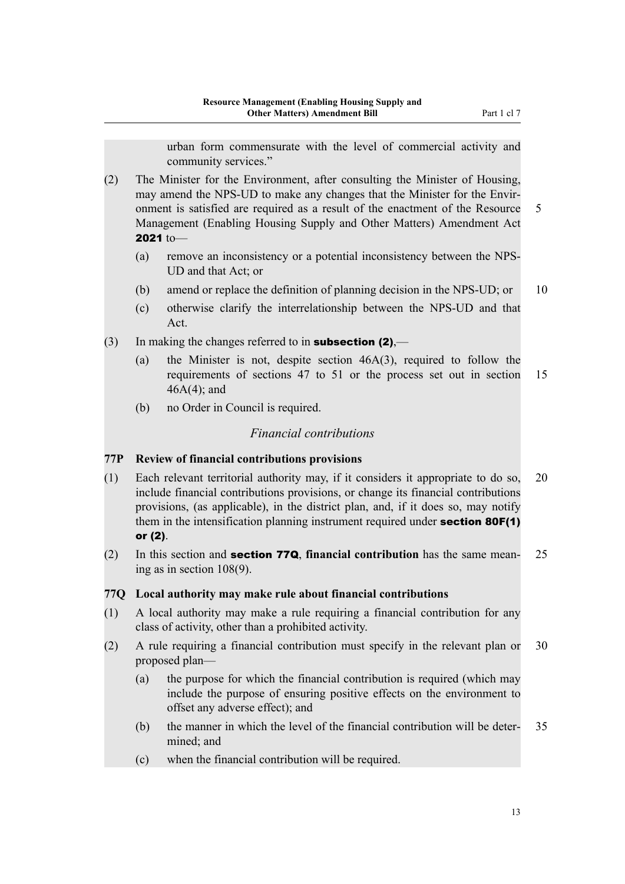urban form commensurate with the level of commercial activity and community services."

- <span id="page-28-0"></span>(2) The Minister for the Environment, after consulting the Minister of Housing, may amend the NPS-UD to make any changes that the Minister for the Envir‐ onment is satisfied are required as a result of the enactment of the Resource 5 Management (Enabling Housing Supply and Other Matters) Amendment Act 2021 to—
	- (a) remove an inconsistency or a potential inconsistency between the NPS-UD and that Act; or
	- (b) amend or replace the definition of planning decision in the NPS-UD; or 10
	- (c) otherwise clarify the interrelationship between the NPS-UD and that Act.
- (3) In making the changes referred to in **subsection (2)**,—
	- (a) the Minister is not, despite section 46A(3), required to follow the requirements of sections 47 to 51 or the process set out in section 15 46A(4); and
	- (b) no Order in Council is required.

#### *Financial contributions*

#### **77P Review of financial contributions provisions**

- (1) Each relevant territorial authority may, if it considers it appropriate to do so, 20 include financial contributions provisions, or change its financial contributions provisions, (as applicable), in the district plan, and, if it does so, may notify them in the intensification planning instrument required under **section 80F(1)** or (2).
- (2) In this section and section 77Q, **financial contribution** has the same mean‐ 25 ing as in section 108(9).

#### **77Q Local authority may make rule about financial contributions**

- (1) A local authority may make a rule requiring a financial contribution for any class of activity, other than a prohibited activity.
- (2) A rule requiring a financial contribution must specify in the relevant plan or 30 proposed plan—
	- (a) the purpose for which the financial contribution is required (which may include the purpose of ensuring positive effects on the environment to offset any adverse effect); and
	- (b) the manner in which the level of the financial contribution will be deter- 35 mined; and
	- (c) when the financial contribution will be required.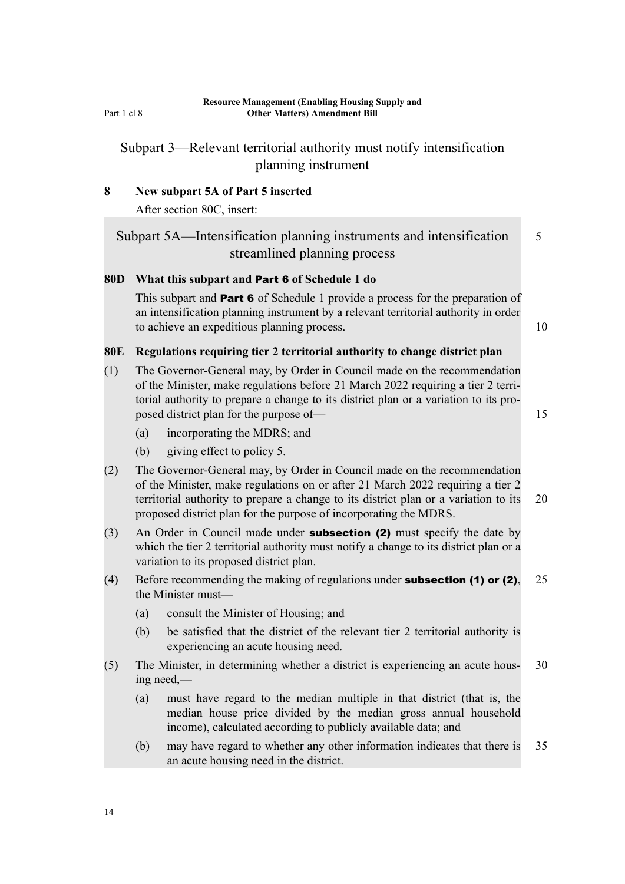### <span id="page-29-0"></span>Subpart 3—Relevant territorial authority must notify intensification planning instrument

#### **8 New subpart 5A of Part 5 inserted**

After section 80C, insert:

Subpart 5A—Intensification planning instruments and intensification 5 streamlined planning process

#### **80D What this subpart and** Part 6 **of Schedule 1 do**

This subpart and Part 6 of Schedule 1 provide a process for the preparation of an intensification planning instrument by a relevant territorial authority in order to achieve an expeditious planning process. 10

#### **80E Regulations requiring tier 2 territorial authority to change district plan**

(1) The Governor-General may, by Order in Council made on the recommendation of the Minister, make regulations before 21 March 2022 requiring a tier 2 terri‐ torial authority to prepare a change to its district plan or a variation to its pro‐ posed district plan for the purpose of— 15

- (a) incorporating the MDRS; and
- (b) giving effect to policy 5.
- (2) The Governor-General may, by Order in Council made on the recommendation of the Minister, make regulations on or after 21 March 2022 requiring a tier 2 territorial authority to prepare a change to its district plan or a variation to its 20 proposed district plan for the purpose of incorporating the MDRS.
- (3) An Order in Council made under **subsection (2)** must specify the date by which the tier 2 territorial authority must notify a change to its district plan or a variation to its proposed district plan.
- (4) Before recommending the making of regulations under **subsection (1) or (2)**,  $25$ the Minister must—
	- (a) consult the Minister of Housing; and
	- (b) be satisfied that the district of the relevant tier 2 territorial authority is experiencing an acute housing need.
- (5) The Minister, in determining whether a district is experiencing an acute hous‐ 30 ing need,—
	- (a) must have regard to the median multiple in that district (that is, the median house price divided by the median gross annual household income), calculated according to publicly available data; and
	- (b) may have regard to whether any other information indicates that there is 35 an acute housing need in the district.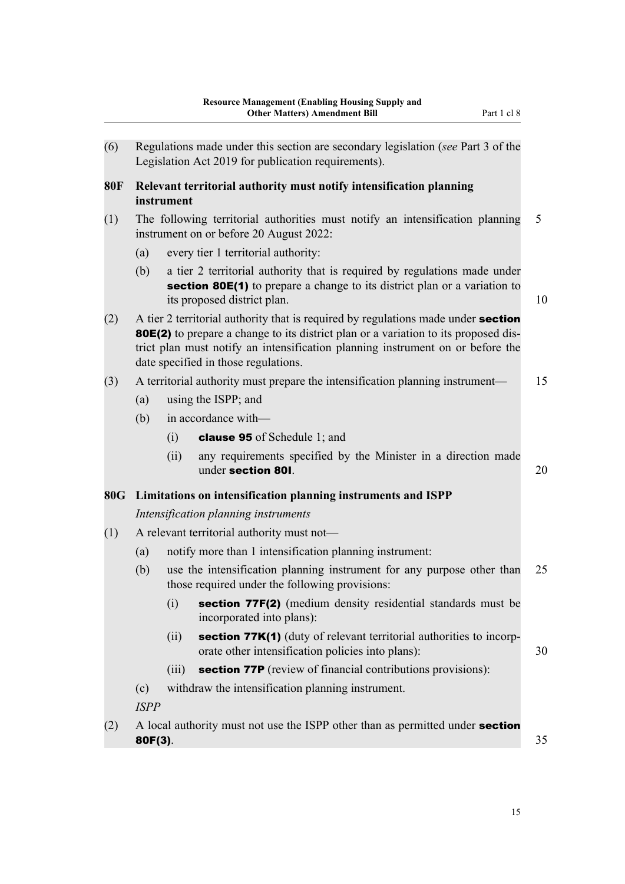<span id="page-30-0"></span>

| (6)        |                                            |            | Regulations made under this section are secondary legislation (see Part 3 of the<br>Legislation Act 2019 for publication requirements).                                                                                                                                                            |    |  |
|------------|--------------------------------------------|------------|----------------------------------------------------------------------------------------------------------------------------------------------------------------------------------------------------------------------------------------------------------------------------------------------------|----|--|
| <b>80F</b> |                                            | instrument | Relevant territorial authority must notify intensification planning                                                                                                                                                                                                                                |    |  |
| (1)        |                                            |            | The following territorial authorities must notify an intensification planning<br>instrument on or before 20 August 2022:                                                                                                                                                                           | 5  |  |
|            | (a)                                        |            | every tier 1 territorial authority:                                                                                                                                                                                                                                                                |    |  |
|            | (b)                                        |            | a tier 2 territorial authority that is required by regulations made under<br><b>section 80E(1)</b> to prepare a change to its district plan or a variation to<br>its proposed district plan.                                                                                                       | 10 |  |
| (2)        |                                            |            | A tier 2 territorial authority that is required by regulations made under section<br>80E(2) to prepare a change to its district plan or a variation to its proposed dis-<br>trict plan must notify an intensification planning instrument on or before the<br>date specified in those regulations. |    |  |
| (3)        |                                            |            | A territorial authority must prepare the intensification planning instrument—                                                                                                                                                                                                                      | 15 |  |
|            | (a)                                        |            | using the ISPP; and                                                                                                                                                                                                                                                                                |    |  |
|            | (b)                                        |            | in accordance with-                                                                                                                                                                                                                                                                                |    |  |
|            |                                            | (i)        | clause 95 of Schedule 1; and                                                                                                                                                                                                                                                                       |    |  |
|            |                                            | (ii)       | any requirements specified by the Minister in a direction made<br>under section 801.                                                                                                                                                                                                               | 20 |  |
|            |                                            |            | 80G Limitations on intensification planning instruments and ISPP                                                                                                                                                                                                                                   |    |  |
|            |                                            |            | Intensification planning instruments                                                                                                                                                                                                                                                               |    |  |
| (1)        | A relevant territorial authority must not- |            |                                                                                                                                                                                                                                                                                                    |    |  |
|            | (a)                                        |            | notify more than 1 intensification planning instrument:                                                                                                                                                                                                                                            |    |  |
|            | (b)                                        |            | use the intensification planning instrument for any purpose other than<br>those required under the following provisions:                                                                                                                                                                           | 25 |  |
|            |                                            |            | (i) <b>section 77F(2)</b> (medium density residential standards must be<br>incorporated into plans):                                                                                                                                                                                               |    |  |
|            |                                            | (ii)       | <b>section 77K(1)</b> (duty of relevant territorial authorities to incorp-<br>orate other intensification policies into plans):                                                                                                                                                                    | 30 |  |
|            |                                            | (iii)      | <b>section 77P</b> (review of financial contributions provisions):                                                                                                                                                                                                                                 |    |  |
|            | (c)<br><b>ISPP</b>                         |            | withdraw the intensification planning instrument.                                                                                                                                                                                                                                                  |    |  |
| (2)        | $80F(3)$ .                                 |            | A local authority must not use the ISPP other than as permitted under section                                                                                                                                                                                                                      | 35 |  |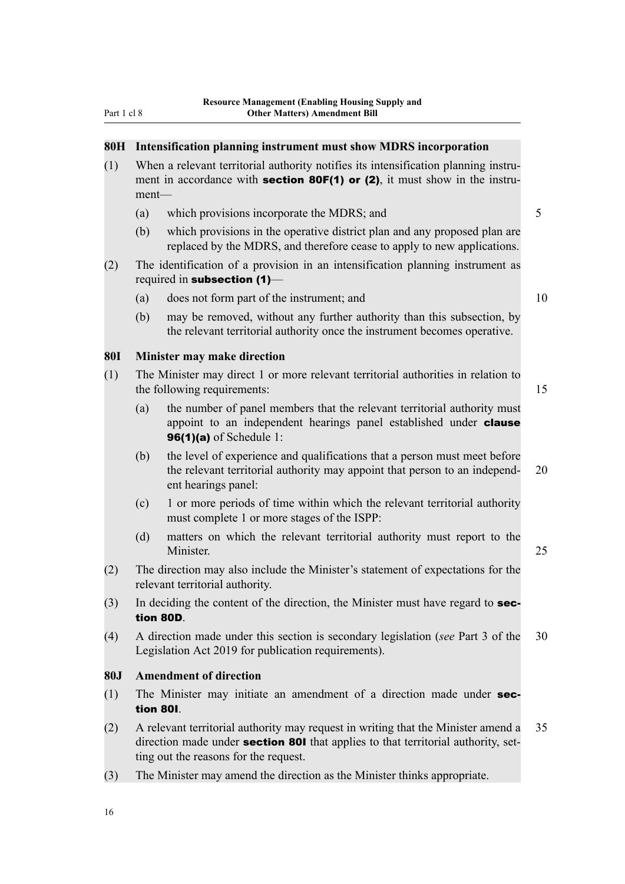## <span id="page-31-0"></span>**80H Intensification planning instrument must show MDRS incorporation** (1) When a relevant territorial authority notifies its intensification planning instru‐ ment in accordance with **section 80F(1) or (2)**, it must show in the instrument— (a) which provisions incorporate the MDRS; and 5 (b) which provisions in the operative district plan and any proposed plan are replaced by the MDRS, and therefore cease to apply to new applications. (2) The identification of a provision in an intensification planning instrument as required in subsection (1)— (a) does not form part of the instrument; and  $10$ (b) may be removed, without any further authority than this subsection, by the relevant territorial authority once the instrument becomes operative. **80I Minister may make direction** (1) The Minister may direct 1 or more relevant territorial authorities in relation to the following requirements: 15 (a) the number of panel members that the relevant territorial authority must appoint to an independent hearings panel established under **clause 96(1)(a)** of Schedule 1: (b) the level of experience and qualifications that a person must meet before the relevant territorial authority may appoint that person to an independ- 20 ent hearings panel: (c) 1 or more periods of time within which the relevant territorial authority must complete 1 or more stages of the ISPP: (d) matters on which the relevant territorial authority must report to the Minister. 25 (2) The direction may also include the Minister's statement of expectations for the relevant territorial authority.  $(3)$  In deciding the content of the direction, the Minister must have regard to **sec**tion 80D. (4) A direction made under this section is secondary legislation (*see* Part 3 of the 30 Legislation Act 2019 for publication requirements). **80J Amendment of direction** (1) The Minister may initiate an amendment of a direction made under section 80I. (2) A relevant territorial authority may request in writing that the Minister amend a 35 direction made under **section 80I** that applies to that territorial authority, setting out the reasons for the request. (3) The Minister may amend the direction as the Minister thinks appropriate.

16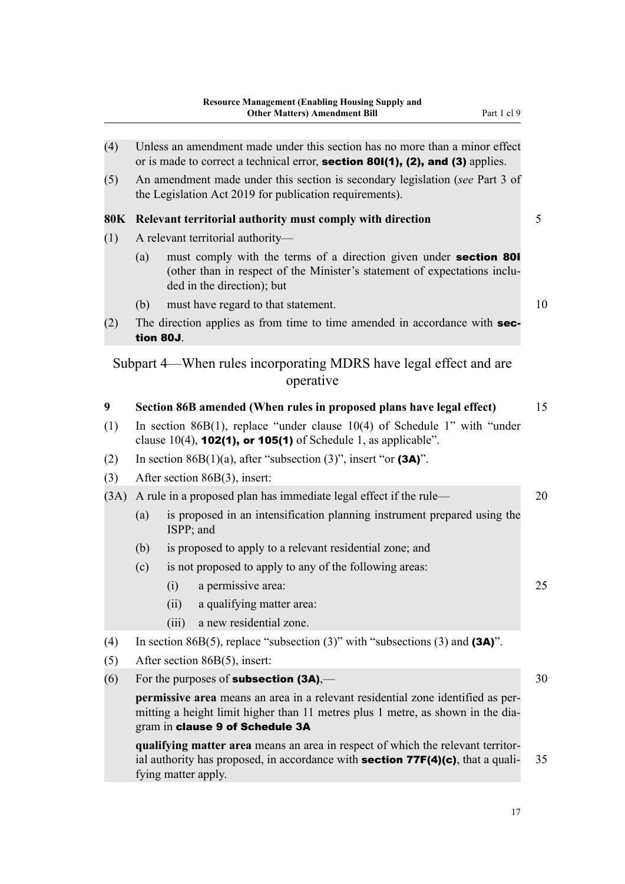<span id="page-32-0"></span>

| (4)  |     | Unless an amendment made under this section has no more than a minor effect<br>or is made to correct a technical error, section 801(1), (2), and (3) applies.                                                  |    |
|------|-----|----------------------------------------------------------------------------------------------------------------------------------------------------------------------------------------------------------------|----|
| (5)  |     | An amendment made under this section is secondary legislation (see Part 3 of<br>the Legislation Act 2019 for publication requirements).                                                                        |    |
|      |     | 80K Relevant territorial authority must comply with direction                                                                                                                                                  | 5  |
| (1)  |     | A relevant territorial authority-                                                                                                                                                                              |    |
|      | (a) | must comply with the terms of a direction given under <b>section 801</b><br>(other than in respect of the Minister's statement of expectations inclu-<br>ded in the direction); but                            |    |
|      | (b) | must have regard to that statement.                                                                                                                                                                            |    |
| (2)  |     | The direction applies as from time to time amended in accordance with sec-<br>tion 80J.                                                                                                                        |    |
|      |     | Subpart 4—When rules incorporating MDRS have legal effect and are<br>operative                                                                                                                                 |    |
| 9    |     | Section 86B amended (When rules in proposed plans have legal effect)                                                                                                                                           |    |
| (1)  |     | In section 86 $B(1)$ , replace "under clause 10(4) of Schedule 1" with "under<br>clause $10(4)$ , <b>102(1), or 105(1)</b> of Schedule 1, as applicable".                                                      |    |
| (2)  |     | In section 86B(1)(a), after "subsection (3)", insert "or (3A)".                                                                                                                                                |    |
| (3)  |     | After section 86B(3), insert:                                                                                                                                                                                  |    |
| (3A) |     | A rule in a proposed plan has immediate legal effect if the rule—                                                                                                                                              |    |
|      | (a) | is proposed in an intensification planning instrument prepared using the<br>ISPP; and                                                                                                                          |    |
|      | (b) | is proposed to apply to a relevant residential zone; and                                                                                                                                                       |    |
|      | (c) | is not proposed to apply to any of the following areas:                                                                                                                                                        |    |
|      |     | (i) a permissive area:                                                                                                                                                                                         |    |
|      |     | (ii)<br>a qualifying matter area:                                                                                                                                                                              |    |
|      |     | (iii)<br>a new residential zone.                                                                                                                                                                               |    |
| (4)  |     | In section 86B(5), replace "subsection (3)" with "subsections (3) and $(3A)$ ".                                                                                                                                |    |
| (5)  |     | After section $86B(5)$ , insert:                                                                                                                                                                               | 30 |
| (6)  |     | For the purposes of <b>subsection <math>(3A)</math></b> ,—                                                                                                                                                     |    |
|      |     | permissive area means an area in a relevant residential zone identified as per-<br>mitting a height limit higher than 11 metres plus 1 metre, as shown in the dia-<br>gram in clause 9 of Schedule 3A          |    |
|      |     | qualifying matter area means an area in respect of which the relevant territor-<br>ial authority has proposed, in accordance with <b>section <math>77F(4)(c)</math></b> , that a quali-<br>fying matter apply. |    |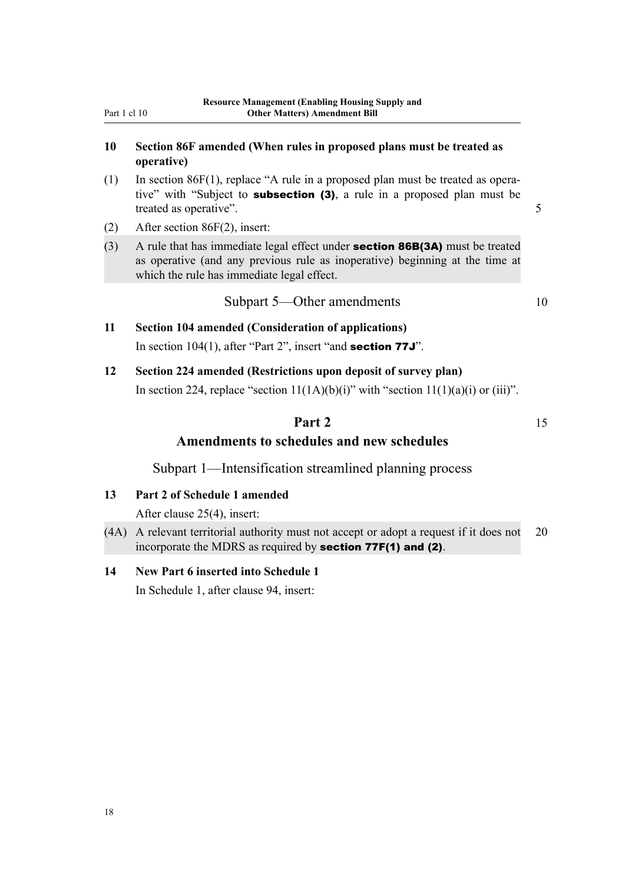#### <span id="page-33-0"></span>**10 Section 86F amended (When rules in proposed plans must be treated as operative)**

- $(1)$  In section 86F(1), replace "A rule in a proposed plan must be treated as operative" with "Subject to **subsection (3)**, a rule in a proposed plan must be treated as operative". 5
- (2) After section 86F(2), insert:
- (3) A rule that has immediate legal effect under **section 86B(3A)** must be treated as operative (and any previous rule as inoperative) beginning at the time at which the rule has immediate legal effect.

Subpart 5—Other amendments 10

## **11 Section 104 amended (Consideration of applications)** In section 104(1), after "Part 2", insert "and **section 77J**".

**12 Section 224 amended (Restrictions upon deposit of survey plan)** In section 224, replace "section  $11(1A)(b)(i)$ " with "section  $11(1)(a)(i)$  or (iii)".

## **Part 2** 15 **Amendments to schedules and new schedules**

Subpart 1—Intensification streamlined planning process

**13 Part 2 of Schedule 1 amended**

After clause 25(4), insert:

(4A) A relevant territorial authority must not accept or adopt a request if it does not 20 incorporate the MDRS as required by section 77F(1) and (2).

#### **14 New Part 6 inserted into Schedule 1**

In Schedule 1, after clause 94, insert: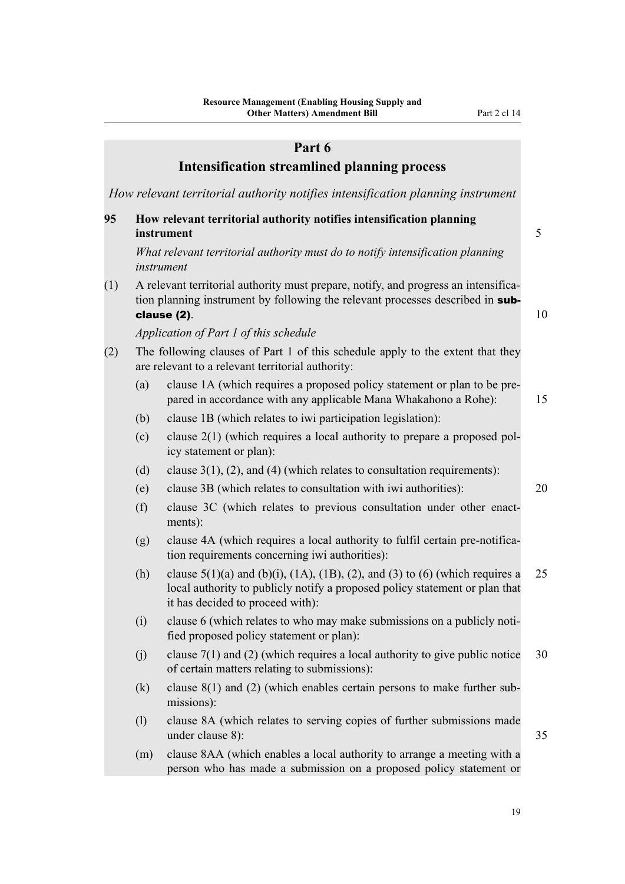|     |     | Part 6                                                                                                                                                                                                            |    |
|-----|-----|-------------------------------------------------------------------------------------------------------------------------------------------------------------------------------------------------------------------|----|
|     |     | <b>Intensification streamlined planning process</b>                                                                                                                                                               |    |
|     |     | How relevant territorial authority notifies intensification planning instrument                                                                                                                                   |    |
| 95  |     | How relevant territorial authority notifies intensification planning<br>instrument                                                                                                                                | 5  |
|     |     | What relevant territorial authority must do to notify intensification planning<br>instrument                                                                                                                      |    |
| (1) |     | A relevant territorial authority must prepare, notify, and progress an intensifica-<br>tion planning instrument by following the relevant processes described in sub-<br>clause (2).                              | 10 |
|     |     | Application of Part 1 of this schedule                                                                                                                                                                            |    |
| (2) |     | The following clauses of Part 1 of this schedule apply to the extent that they<br>are relevant to a relevant territorial authority:                                                                               |    |
|     | (a) | clause 1A (which requires a proposed policy statement or plan to be pre-<br>pared in accordance with any applicable Mana Whakahono a Rohe):                                                                       |    |
|     | (b) | clause 1B (which relates to iwi participation legislation):                                                                                                                                                       |    |
|     | (c) | clause $2(1)$ (which requires a local authority to prepare a proposed pol-<br>icy statement or plan):                                                                                                             |    |
|     | (d) | clause $3(1)$ , (2), and (4) (which relates to consultation requirements):                                                                                                                                        |    |
|     | (e) | clause 3B (which relates to consultation with iwi authorities):                                                                                                                                                   |    |
|     | (f) | clause 3C (which relates to previous consultation under other enact-<br>ments):                                                                                                                                   |    |
|     | (g) | clause 4A (which requires a local authority to fulfil certain pre-notifica-<br>tion requirements concerning iwi authorities):                                                                                     |    |
|     | (h) | clause $5(1)(a)$ and $(b)(i)$ , $(1A)$ , $(1B)$ , $(2)$ , and $(3)$ to $(6)$ (which requires a<br>local authority to publicly notify a proposed policy statement or plan that<br>it has decided to proceed with): | 25 |
|     | (i) | clause 6 (which relates to who may make submissions on a publicly noti-<br>fied proposed policy statement or plan):                                                                                               |    |
|     | (j) | clause $7(1)$ and (2) (which requires a local authority to give public notice<br>of certain matters relating to submissions):                                                                                     |    |
|     | (k) | clause $8(1)$ and (2) (which enables certain persons to make further sub-<br>missions):                                                                                                                           |    |
|     | (1) | clause 8A (which relates to serving copies of further submissions made<br>under clause 8):                                                                                                                        | 35 |
|     | (m) | clause 8AA (which enables a local authority to arrange a meeting with a                                                                                                                                           |    |

(m) clause 8AA (which enables a local authority to arrange a meeting with a person who has made a submission on a proposed policy statement or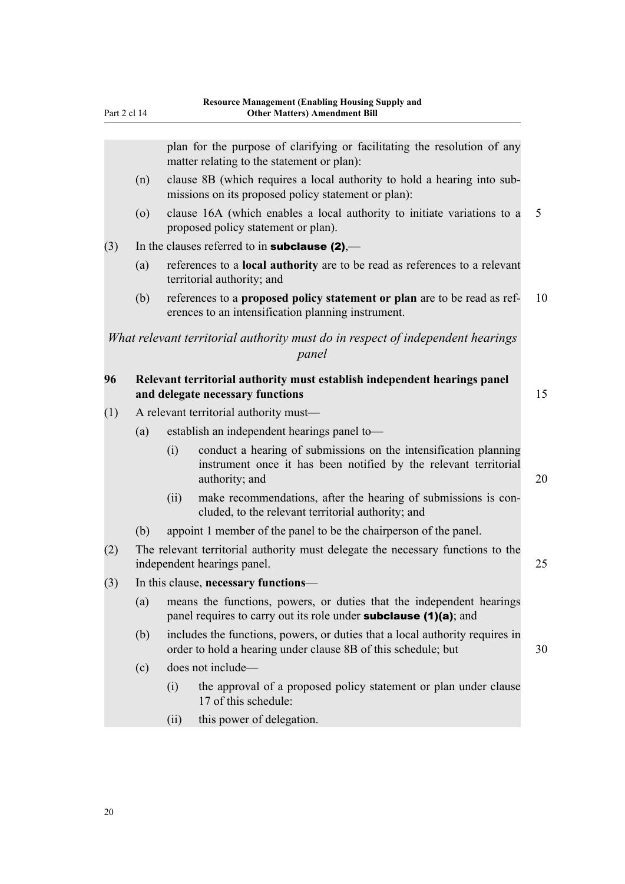plan for the purpose of clarifying or facilitating the resolution of any matter relating to the statement or plan):

- (n) clause 8B (which requires a local authority to hold a hearing into sub‐ missions on its proposed policy statement or plan):
- (o) clause 16A (which enables a local authority to initiate variations to a 5 proposed policy statement or plan).

#### (3) In the clauses referred to in **subclause (2)**,—

- (a) references to a **local authority** are to be read as references to a relevant territorial authority; and
- (b) references to a **proposed policy statement or plan** are to be read as ref‐ 10 erences to an intensification planning instrument.

*What relevant territorial authority must do in respect of independent hearings panel*

#### **96 Relevant territorial authority must establish independent hearings panel and delegate necessary functions** 15

(1) A relevant territorial authority must—

- (a) establish an independent hearings panel to—
	- (i) conduct a hearing of submissions on the intensification planning instrument once it has been notified by the relevant territorial authority; and 20
	- (ii) make recommendations, after the hearing of submissions is concluded, to the relevant territorial authority; and
- (b) appoint 1 member of the panel to be the chairperson of the panel.
- (2) The relevant territorial authority must delegate the necessary functions to the independent hearings panel. 25
- (3) In this clause, **necessary functions**
	- (a) means the functions, powers, or duties that the independent hearings panel requires to carry out its role under **subclause** (1)(a); and
	- (b) includes the functions, powers, or duties that a local authority requires in order to hold a hearing under clause 8B of this schedule; but 30
	- (c) does not include—
		- (i) the approval of a proposed policy statement or plan under clause 17 of this schedule:
		- (ii) this power of delegation.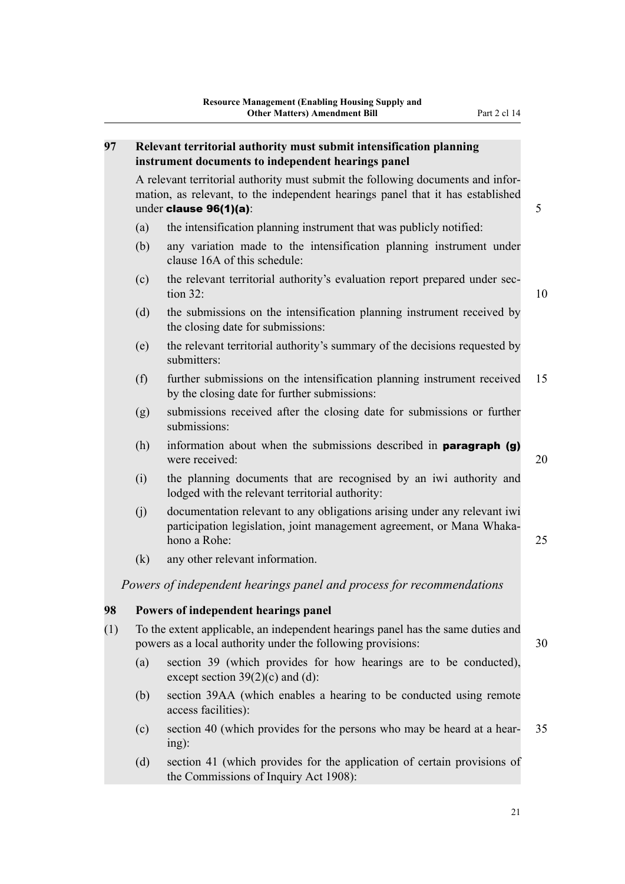#### **97 Relevant territorial authority must submit intensification planning instrument documents to independent hearings panel**

A relevant territorial authority must submit the following documents and infor‐ mation, as relevant, to the independent hearings panel that it has established under clause  $96(1)(a)$ :  $5$ 

- (a) the intensification planning instrument that was publicly notified:
- (b) any variation made to the intensification planning instrument under clause 16A of this schedule:
- (c) the relevant territorial authority's evaluation report prepared under sec‐  $\frac{32}{10}$
- (d) the submissions on the intensification planning instrument received by the closing date for submissions:
- (e) the relevant territorial authority's summary of the decisions requested by submitters:
- (f) further submissions on the intensification planning instrument received 15 by the closing date for further submissions:
- (g) submissions received after the closing date for submissions or further submissions:
- (h) information about when the submissions described in **paragraph** (g) were received: 20

- (i) the planning documents that are recognised by an iwi authority and lodged with the relevant territorial authority:
- (j) documentation relevant to any obligations arising under any relevant iwi participation legislation, joint management agreement, or Mana Whakahono a Rohe: 25
- (k) any other relevant information.

*Powers of independent hearings panel and process for recommendations*

#### **98 Powers of independent hearings panel**

- (1) To the extent applicable, an independent hearings panel has the same duties and powers as a local authority under the following provisions: 30
	- (a) section 39 (which provides for how hearings are to be conducted), except section  $39(2)(c)$  and (d):
	- (b) section 39AA (which enables a hearing to be conducted using remote access facilities):
	- (c) section 40 (which provides for the persons who may be heard at a hear‐ 35 ing):
	- (d) section 41 (which provides for the application of certain provisions of the Commissions of Inquiry Act 1908):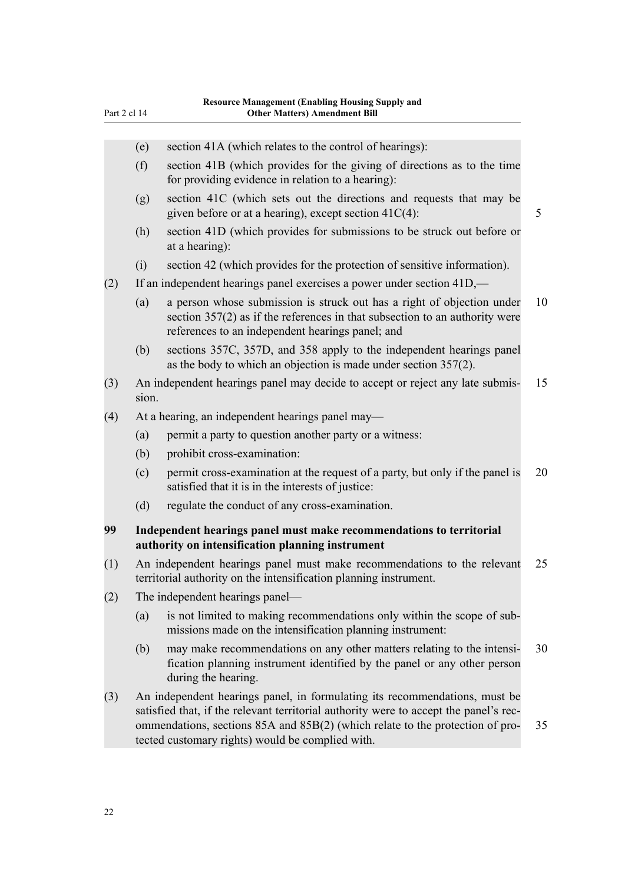| Part 2 ci 14 |       | Uther Matters) Amendment Bill                                                                                                                                                                                                                                                                            |
|--------------|-------|----------------------------------------------------------------------------------------------------------------------------------------------------------------------------------------------------------------------------------------------------------------------------------------------------------|
|              |       |                                                                                                                                                                                                                                                                                                          |
|              | (e)   | section 41A (which relates to the control of hearings):                                                                                                                                                                                                                                                  |
|              | (f)   | section 41B (which provides for the giving of directions as to the time<br>for providing evidence in relation to a hearing):                                                                                                                                                                             |
|              | (g)   | section 41C (which sets out the directions and requests that may be<br>given before or at a hearing), except section $41C(4)$ :                                                                                                                                                                          |
|              | (h)   | section 41D (which provides for submissions to be struck out before or<br>at a hearing):                                                                                                                                                                                                                 |
|              | (i)   | section 42 (which provides for the protection of sensitive information).                                                                                                                                                                                                                                 |
| (2)          |       | If an independent hearings panel exercises a power under section 41D,—                                                                                                                                                                                                                                   |
|              | (a)   | a person whose submission is struck out has a right of objection under<br>section $357(2)$ as if the references in that subsection to an authority were<br>references to an independent hearings panel; and                                                                                              |
|              | (b)   | sections 357C, 357D, and 358 apply to the independent hearings panel<br>as the body to which an objection is made under section 357(2).                                                                                                                                                                  |
| (3)          | sion. | An independent hearings panel may decide to accept or reject any late submis-                                                                                                                                                                                                                            |
| (4)          |       | At a hearing, an independent hearings panel may—                                                                                                                                                                                                                                                         |
|              | (a)   | permit a party to question another party or a witness:                                                                                                                                                                                                                                                   |
|              | (b)   | prohibit cross-examination:                                                                                                                                                                                                                                                                              |
|              | (c)   | permit cross-examination at the request of a party, but only if the panel is<br>satisfied that it is in the interests of justice:                                                                                                                                                                        |
|              | (d)   | regulate the conduct of any cross-examination.                                                                                                                                                                                                                                                           |
| 99           |       | Independent hearings panel must make recommendations to territorial                                                                                                                                                                                                                                      |
|              |       | authority on intensification planning instrument                                                                                                                                                                                                                                                         |
| (1)          |       | An independent hearings panel must make recommendations to the relevant<br>territorial authority on the intensification planning instrument.                                                                                                                                                             |
| (2)          |       | The independent hearings panel—                                                                                                                                                                                                                                                                          |
|              | (a)   | is not limited to making recommendations only within the scope of sub-<br>missions made on the intensification planning instrument:                                                                                                                                                                      |
|              | (b)   | may make recommendations on any other matters relating to the intensi-<br>fication planning instrument identified by the panel or any other person<br>during the hearing.                                                                                                                                |
| (3)          |       | An independent hearings panel, in formulating its recommendations, must be<br>satisfied that, if the relevant territorial authority were to accept the panel's rec-<br>ommendations, sections 85A and 85B(2) (which relate to the protection of pro-<br>tected customary rights) would be complied with. |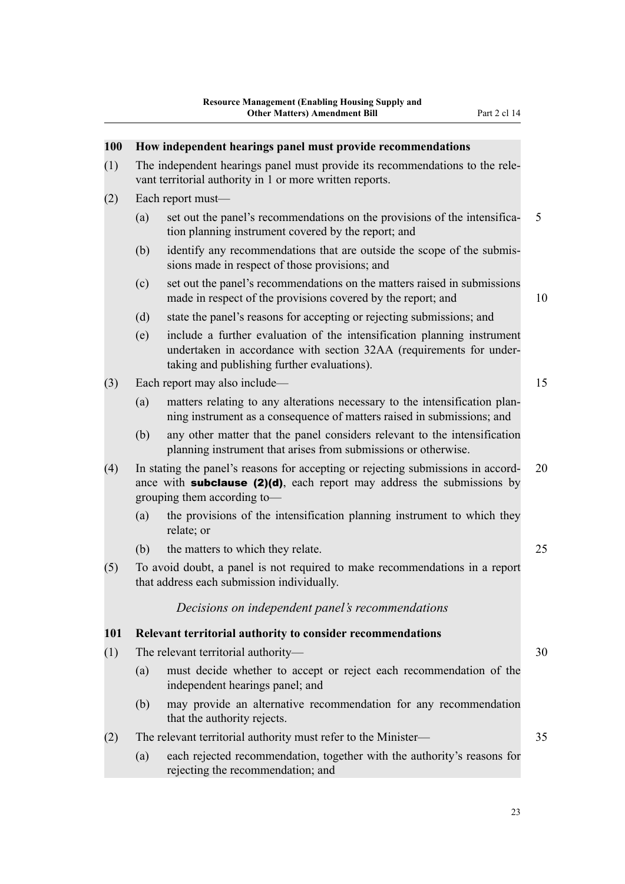| 100 |     | How independent hearings panel must provide recommendations                                                                                                                                       |    |
|-----|-----|---------------------------------------------------------------------------------------------------------------------------------------------------------------------------------------------------|----|
| (1) |     | The independent hearings panel must provide its recommendations to the rele-<br>vant territorial authority in 1 or more written reports.                                                          |    |
| (2) |     | Each report must-                                                                                                                                                                                 |    |
|     | (a) | set out the panel's recommendations on the provisions of the intensifica-<br>tion planning instrument covered by the report; and                                                                  | 5  |
|     | (b) | identify any recommendations that are outside the scope of the submis-<br>sions made in respect of those provisions; and                                                                          |    |
|     | (c) | set out the panel's recommendations on the matters raised in submissions<br>made in respect of the provisions covered by the report; and                                                          | 10 |
|     | (d) | state the panel's reasons for accepting or rejecting submissions; and                                                                                                                             |    |
|     | (e) | include a further evaluation of the intensification planning instrument<br>undertaken in accordance with section 32AA (requirements for under-<br>taking and publishing further evaluations).     |    |
| (3) |     | Each report may also include—                                                                                                                                                                     | 15 |
|     | (a) | matters relating to any alterations necessary to the intensification plan-<br>ning instrument as a consequence of matters raised in submissions; and                                              |    |
|     | (b) | any other matter that the panel considers relevant to the intensification<br>planning instrument that arises from submissions or otherwise.                                                       |    |
| (4) |     | In stating the panel's reasons for accepting or rejecting submissions in accord-<br>ance with <b>subclause (2)(d)</b> , each report may address the submissions by<br>grouping them according to- | 20 |
|     | (a) | the provisions of the intensification planning instrument to which they<br>relate; or                                                                                                             |    |
|     | (b) | the matters to which they relate.                                                                                                                                                                 | 25 |
| (5) |     | To avoid doubt, a panel is not required to make recommendations in a report<br>that address each submission individually.                                                                         |    |
|     |     | Decisions on independent panel's recommendations                                                                                                                                                  |    |
| 101 |     | Relevant territorial authority to consider recommendations                                                                                                                                        |    |
| (1) |     | The relevant territorial authority-                                                                                                                                                               | 30 |
|     | (a) | must decide whether to accept or reject each recommendation of the<br>independent hearings panel; and                                                                                             |    |
|     | (b) | may provide an alternative recommendation for any recommendation<br>that the authority rejects.                                                                                                   |    |
| (2) |     | The relevant territorial authority must refer to the Minister-                                                                                                                                    | 35 |
|     | (a) | each rejected recommendation, together with the authority's reasons for<br>rejecting the recommendation; and                                                                                      |    |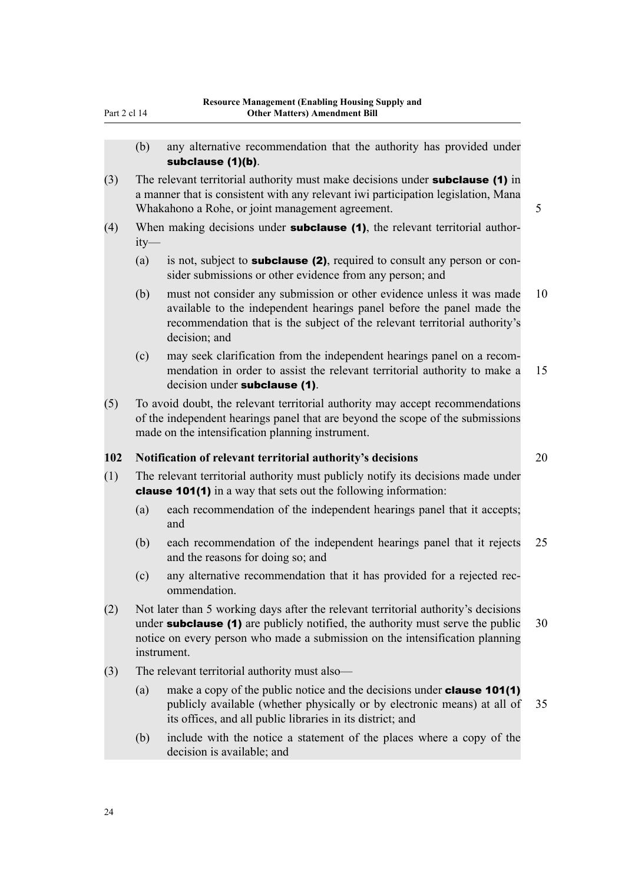- (b) any alternative recommendation that the authority has provided under subclause (1)(b).
- (3) The relevant territorial authority must make decisions under **subclause** (1) in a manner that is consistent with any relevant iwi participation legislation, Mana Whakahono a Rohe, or joint management agreement. 5
- (4) When making decisions under **subclause (1)**, the relevant territorial authority—
	- (a) is not, subject to **subclause (2)**, required to consult any person or consider submissions or other evidence from any person; and
	- (b) must not consider any submission or other evidence unless it was made 10 available to the independent hearings panel before the panel made the recommendation that is the subject of the relevant territorial authority's decision; and
	- (c) may seek clarification from the independent hearings panel on a recom‐ mendation in order to assist the relevant territorial authority to make a 15 decision under **subclause** (1).
- (5) To avoid doubt, the relevant territorial authority may accept recommendations of the independent hearings panel that are beyond the scope of the submissions made on the intensification planning instrument.

#### **102 Notification of relevant territorial authority's decisions** 20

- (1) The relevant territorial authority must publicly notify its decisions made under clause 101(1) in a way that sets out the following information:
	- (a) each recommendation of the independent hearings panel that it accepts; and
	- (b) each recommendation of the independent hearings panel that it rejects 25 and the reasons for doing so; and
	- (c) any alternative recommendation that it has provided for a rejected rec‐ ommendation.
- (2) Not later than 5 working days after the relevant territorial authority's decisions under **subclause (1)** are publicly notified, the authority must serve the public  $30$ notice on every person who made a submission on the intensification planning instrument.
- (3) The relevant territorial authority must also—
	- (a) make a copy of the public notice and the decisions under **clause 101(1)** publicly available (whether physically or by electronic means) at all of 35 its offices, and all public libraries in its district; and
	- (b) include with the notice a statement of the places where a copy of the decision is available; and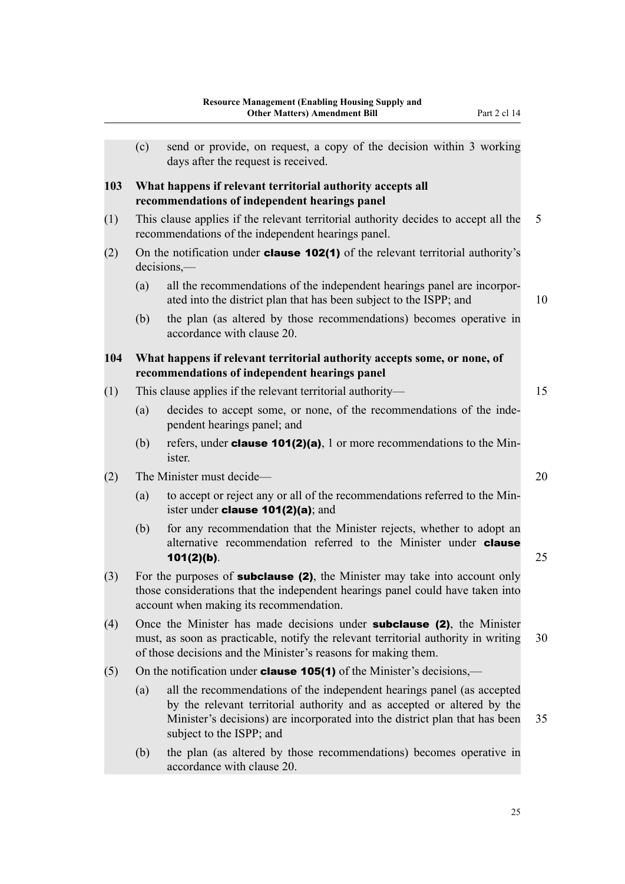|     |                                                                                                                                           | енет втассетву жиненститеть он                                                                                                                                    |    |  |  |  |
|-----|-------------------------------------------------------------------------------------------------------------------------------------------|-------------------------------------------------------------------------------------------------------------------------------------------------------------------|----|--|--|--|
|     |                                                                                                                                           |                                                                                                                                                                   |    |  |  |  |
|     | (c)                                                                                                                                       | send or provide, on request, a copy of the decision within 3 working<br>days after the request is received.                                                       |    |  |  |  |
| 103 | What happens if relevant territorial authority accepts all<br>recommendations of independent hearings panel                               |                                                                                                                                                                   |    |  |  |  |
| (1) | This clause applies if the relevant territorial authority decides to accept all the<br>recommendations of the independent hearings panel. |                                                                                                                                                                   |    |  |  |  |
| (2) | On the notification under <b>clause 102(1)</b> of the relevant territorial authority's<br>$decisions, -$                                  |                                                                                                                                                                   |    |  |  |  |
|     | (a)                                                                                                                                       | all the recommendations of the independent hearings panel are incorpor-<br>ated into the district plan that has been subject to the ISPP; and                     | 10 |  |  |  |
|     | (b)                                                                                                                                       | the plan (as altered by those recommendations) becomes operative in<br>accordance with clause 20.                                                                 |    |  |  |  |
| 104 | What happens if relevant territorial authority accepts some, or none, of<br>recommendations of independent hearings panel                 |                                                                                                                                                                   |    |  |  |  |
| (1) | This clause applies if the relevant territorial authority—                                                                                |                                                                                                                                                                   |    |  |  |  |
|     | (a)                                                                                                                                       | decides to accept some, or none, of the recommendations of the inde-<br>pendent hearings panel; and                                                               |    |  |  |  |
|     | (b)                                                                                                                                       | refers, under <b>clause 101(2)(a)</b> , 1 or more recommendations to the Min-<br>ister.                                                                           |    |  |  |  |
| (2) | The Minister must decide—                                                                                                                 |                                                                                                                                                                   |    |  |  |  |
|     | (a)                                                                                                                                       | to accept or reject any or all of the recommendations referred to the Min-<br>ister under <b>clause 101(2)(a)</b> ; and                                           |    |  |  |  |
|     | (b)                                                                                                                                       | for any recommendation that the Minister rejects, whether to adopt an<br>alternative recommendation referred to the Minister under <b>clause</b><br>$101(2)(b)$ . | 25 |  |  |  |
|     |                                                                                                                                           |                                                                                                                                                                   |    |  |  |  |

- $(3)$  For the purposes of **subclause (2)**, the Minister may take into account only those considerations that the independent hearings panel could have taken into account when making its recommendation.
- (4) Once the Minister has made decisions under subclause (2), the Minister must, as soon as practicable, notify the relevant territorial authority in writing 30 of those decisions and the Minister's reasons for making them.
- (5) On the notification under **clause 105(1)** of the Minister's decisions,—
	- (a) all the recommendations of the independent hearings panel (as accepted by the relevant territorial authority and as accepted or altered by the Minister's decisions) are incorporated into the district plan that has been 35 subject to the ISPP; and
	- (b) the plan (as altered by those recommendations) becomes operative in accordance with clause 20.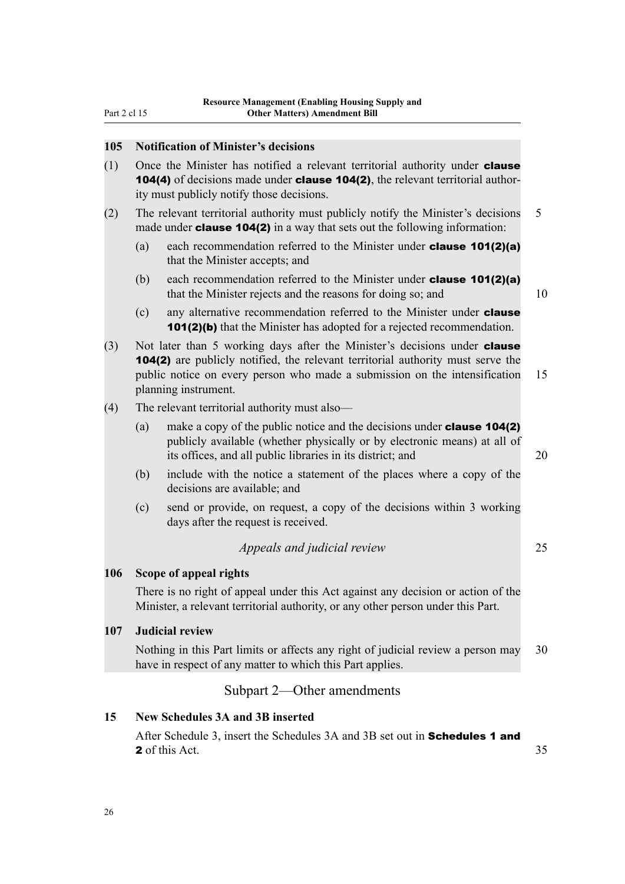#### <span id="page-41-0"></span>**105 Notification of Minister's decisions**

- (1) Once the Minister has notified a relevant territorial authority under **clause** 104(4) of decisions made under **clause 104(2)**, the relevant territorial authority must publicly notify those decisions.
- (2) The relevant territorial authority must publicly notify the Minister's decisions 5 made under **clause 104(2)** in a way that sets out the following information:
	- (a) each recommendation referred to the Minister under clause 101(2)(a) that the Minister accepts; and
	- (b) each recommendation referred to the Minister under **clause 101(2)(a)** that the Minister rejects and the reasons for doing so; and 10
	- (c) any alternative recommendation referred to the Minister under **clause** 101(2)(b) that the Minister has adopted for a rejected recommendation.
- (3) Not later than 5 working days after the Minister's decisions under **clause** 104(2) are publicly notified, the relevant territorial authority must serve the public notice on every person who made a submission on the intensification 15 planning instrument.
- (4) The relevant territorial authority must also—
	- (a) make a copy of the public notice and the decisions under **clause 104(2)** publicly available (whether physically or by electronic means) at all of its offices, and all public libraries in its district; and 20
	- (b) include with the notice a statement of the places where a copy of the decisions are available; and
	- (c) send or provide, on request, a copy of the decisions within 3 working days after the request is received.

#### *Appeals and judicial review* 25

#### **106 Scope of appeal rights**

There is no right of appeal under this Act against any decision or action of the Minister, a relevant territorial authority, or any other person under this Part.

#### **107 Judicial review**

Nothing in this Part limits or affects any right of judicial review a person may 30 have in respect of any matter to which this Part applies.

#### Subpart 2—Other amendments

#### **15 New Schedules 3A and 3B inserted**

After Schedule 3, insert the Schedules 3A and 3B set out in **Schedules 1 and** 2 of this Act. 35

26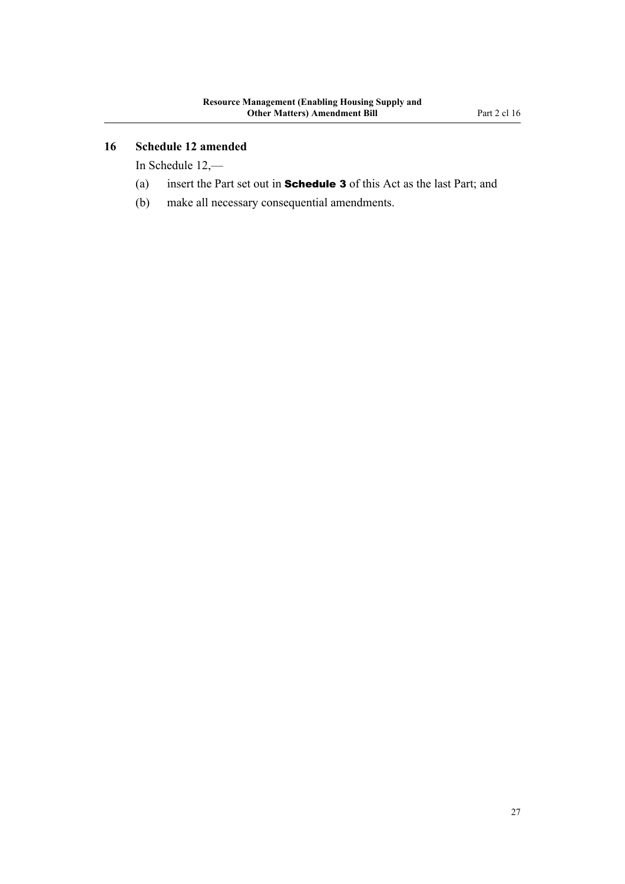#### <span id="page-42-0"></span>**16 Schedule 12 amended**

In Schedule 12,—

- (a) insert the Part set out in Schedule 3 of this Act as the last Part; and
- (b) make all necessary consequential amendments.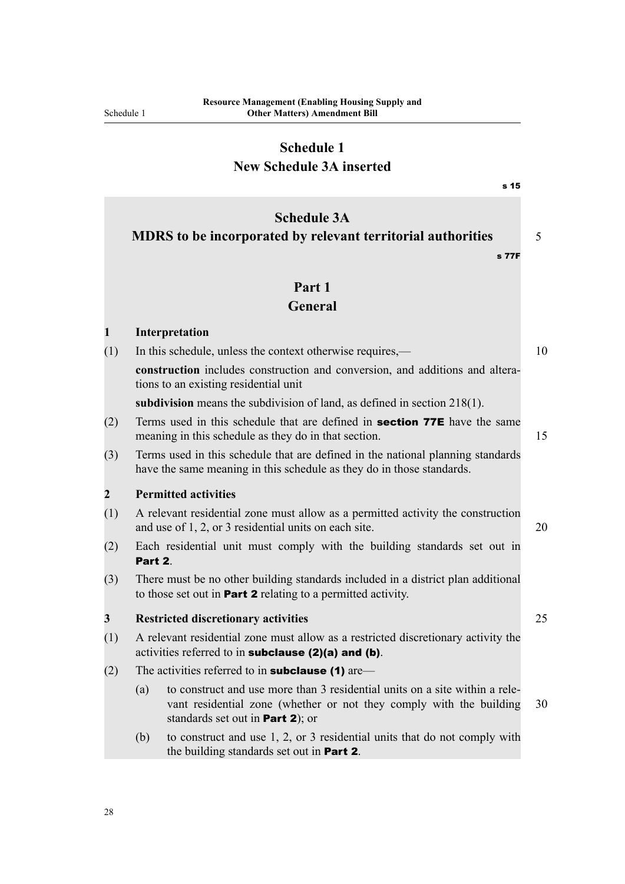## **Schedule 1 New Schedule 3A inserted**

<span id="page-43-0"></span>

|                |                                                                                                                                                                                               | s 15       |  |  |  |
|----------------|-----------------------------------------------------------------------------------------------------------------------------------------------------------------------------------------------|------------|--|--|--|
|                | <b>Schedule 3A</b><br>MDRS to be incorporated by relevant territorial authorities                                                                                                             | 5<br>s 77F |  |  |  |
|                | Part 1                                                                                                                                                                                        |            |  |  |  |
|                | General                                                                                                                                                                                       |            |  |  |  |
| $\mathbf{1}$   | Interpretation                                                                                                                                                                                |            |  |  |  |
| (1)            | In this schedule, unless the context otherwise requires,—                                                                                                                                     | 10         |  |  |  |
|                | construction includes construction and conversion, and additions and altera-<br>tions to an existing residential unit                                                                         |            |  |  |  |
|                | subdivision means the subdivision of land, as defined in section $218(1)$ .                                                                                                                   |            |  |  |  |
| (2)            | Terms used in this schedule that are defined in section 77E have the same<br>meaning in this schedule as they do in that section.                                                             | 15         |  |  |  |
| (3)            | Terms used in this schedule that are defined in the national planning standards<br>have the same meaning in this schedule as they do in those standards.                                      |            |  |  |  |
| $\overline{2}$ | <b>Permitted activities</b>                                                                                                                                                                   |            |  |  |  |
| (1)            | A relevant residential zone must allow as a permitted activity the construction<br>and use of 1, 2, or 3 residential units on each site.                                                      | 20         |  |  |  |
| (2)            | Each residential unit must comply with the building standards set out in<br>Part 2.                                                                                                           |            |  |  |  |
| (3)            | There must be no other building standards included in a district plan additional<br>to those set out in <b>Part 2</b> relating to a permitted activity.                                       |            |  |  |  |
| 3              | <b>Restricted discretionary activities</b>                                                                                                                                                    | 25         |  |  |  |
| (1)            | A relevant residential zone must allow as a restricted discretionary activity the<br>activities referred to in subclause (2)(a) and (b).                                                      |            |  |  |  |
| (2)            | The activities referred to in <b>subclause (1)</b> are—                                                                                                                                       |            |  |  |  |
|                | to construct and use more than 3 residential units on a site within a rele-<br>(a)<br>vant residential zone (whether or not they comply with the building<br>standards set out in Part 2); or | 30         |  |  |  |
|                | to construct and use 1, 2, or 3 residential units that do not comply with<br>(b)<br>the building standards set out in <b>Part 2</b> .                                                         |            |  |  |  |

28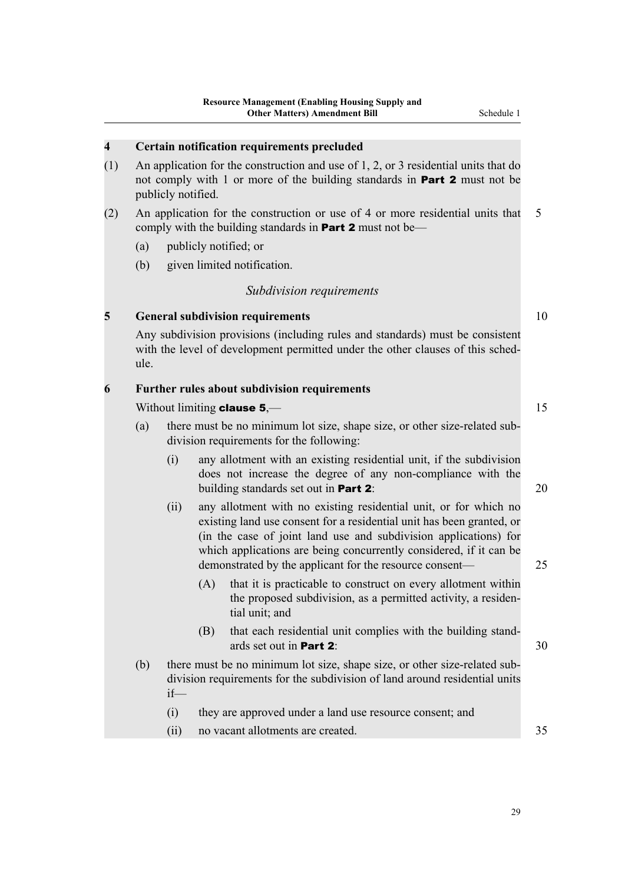#### **4 Certain notification requirements precluded**

- (1) An application for the construction and use of 1, 2, or 3 residential units that do not comply with 1 or more of the building standards in **Part 2** must not be publicly notified.
- (2) An application for the construction or use of 4 or more residential units that 5 comply with the building standards in **Part 2** must not be—
	- (a) publicly notified; or
	- (b) given limited notification.

#### *Subdivision requirements*

#### **5 General subdivision requirements** 10

Any subdivision provisions (including rules and standards) must be consistent with the level of development permitted under the other clauses of this schedule.

#### **6 Further rules about subdivision requirements**

#### Without limiting **clause**  $5,$ — 15

- (a) there must be no minimum lot size, shape size, or other size-related sub‐ division requirements for the following:
	- (i) any allotment with an existing residential unit, if the subdivision does not increase the degree of any non-compliance with the building standards set out in **Part 2**: 20
	- (ii) any allotment with no existing residential unit, or for which no existing land use consent for a residential unit has been granted, or (in the case of joint land use and subdivision applications) for which applications are being concurrently considered, if it can be demonstrated by the applicant for the resource consent— 25
		- (A) that it is practicable to construct on every allotment within the proposed subdivision, as a permitted activity, a residential unit; and
		- (B) that each residential unit complies with the building standards set out in **Part 2:**  $30$
- (b) there must be no minimum lot size, shape size, or other size-related subdivision requirements for the subdivision of land around residential units if—
	- (i) they are approved under a land use resource consent; and
	- (ii) no vacant allotments are created. 35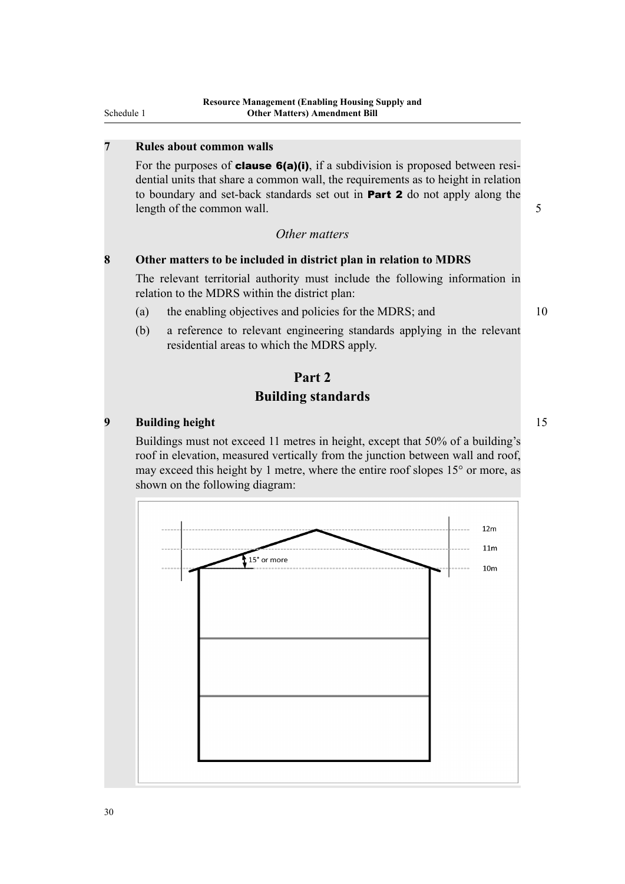#### **7 Rules about common walls**

For the purposes of **clause 6(a)(i)**, if a subdivision is proposed between residential units that share a common wall, the requirements as to height in relation to boundary and set-back standards set out in Part 2 do not apply along the length of the common wall. 5

#### *Other matters*

#### **8 Other matters to be included in district plan in relation to MDRS**

The relevant territorial authority must include the following information in relation to the MDRS within the district plan:

- (a) the enabling objectives and policies for the MDRS; and 10
- (b) a reference to relevant engineering standards applying in the relevant residential areas to which the MDRS apply.

## **Part 2 Building standards**

#### **9 Building height** 15

Buildings must not exceed 11 metres in height, except that 50% of a building's roof in elevation, measured vertically from the junction between wall and roof, may exceed this height by 1 metre, where the entire roof slopes 15° or more, as shown on the following diagram:

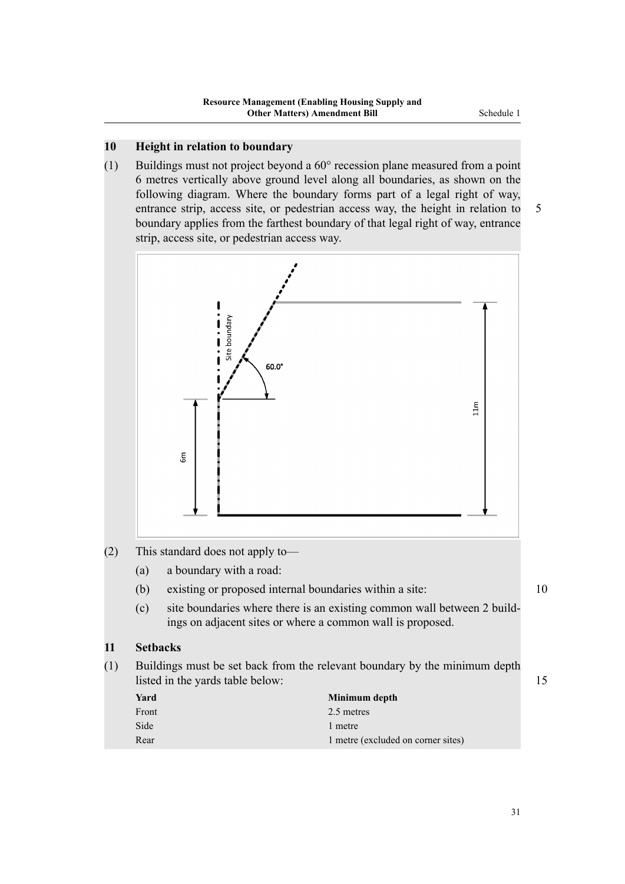#### **10 Height in relation to boundary**

(1) Buildings must not project beyond a 60° recession plane measured from a point 6 metres vertically above ground level along all boundaries, as shown on the following diagram. Where the boundary forms part of a legal right of way, entrance strip, access site, or pedestrian access way, the height in relation to 5 boundary applies from the farthest boundary of that legal right of way, entrance strip, access site, or pedestrian access way.



#### (2) This standard does not apply to—

- (a) a boundary with a road:
- (b) existing or proposed internal boundaries within a site: 10
- (c) site boundaries where there is an existing common wall between 2 buildings on adjacent sites or where a common wall is proposed.

#### **11 Setbacks**

(1) Buildings must be set back from the relevant boundary by the minimum depth listed in the yards table below: 15

| Yard  | Minimum depth                      |
|-------|------------------------------------|
| Front | 2.5 metres                         |
| Side  | 1 metre                            |
| Rear  | 1 metre (excluded on corner sites) |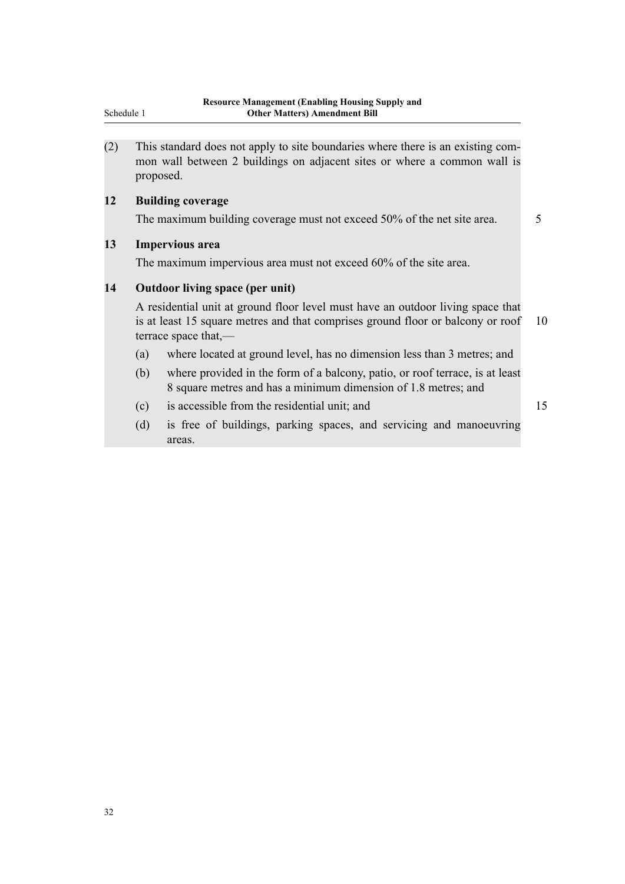(2) This standard does not apply to site boundaries where there is an existing com‐ mon wall between 2 buildings on adjacent sites or where a common wall is proposed.

#### **12 Building coverage**

The maximum building coverage must not exceed 50% of the net site area. 5

#### **13 Impervious area**

The maximum impervious area must not exceed 60% of the site area.

#### **14 Outdoor living space (per unit)**

A residential unit at ground floor level must have an outdoor living space that is at least 15 square metres and that comprises ground floor or balcony or roof 10 terrace space that,—

- (a) where located at ground level, has no dimension less than 3 metres; and
- (b) where provided in the form of a balcony, patio, or roof terrace, is at least 8 square metres and has a minimum dimension of 1.8 metres; and
- (c) is accessible from the residential unit; and 15
- (d) is free of buildings, parking spaces, and servicing and manoeuvring areas.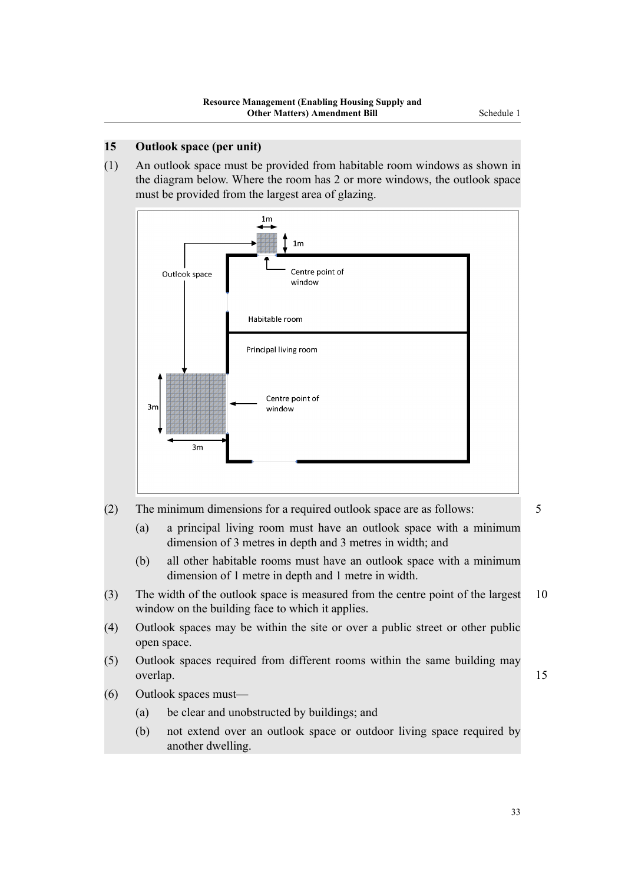(1) An outlook space must be provided from habitable room windows as shown in the diagram below. Where the room has 2 or more windows, the outlook space must be provided from the largest area of glazing.



(2) The minimum dimensions for a required outlook space are as follows: 5

- (a) a principal living room must have an outlook space with a minimum dimension of 3 metres in depth and 3 metres in width; and
- (b) all other habitable rooms must have an outlook space with a minimum dimension of 1 metre in depth and 1 metre in width.
- (3) The width of the outlook space is measured from the centre point of the largest 10 window on the building face to which it applies.
- (4) Outlook spaces may be within the site or over a public street or other public open space.
- (5) Outlook spaces required from different rooms within the same building may overlap. 15
- (6) Outlook spaces must—
	- (a) be clear and unobstructed by buildings; and
	- (b) not extend over an outlook space or outdoor living space required by another dwelling.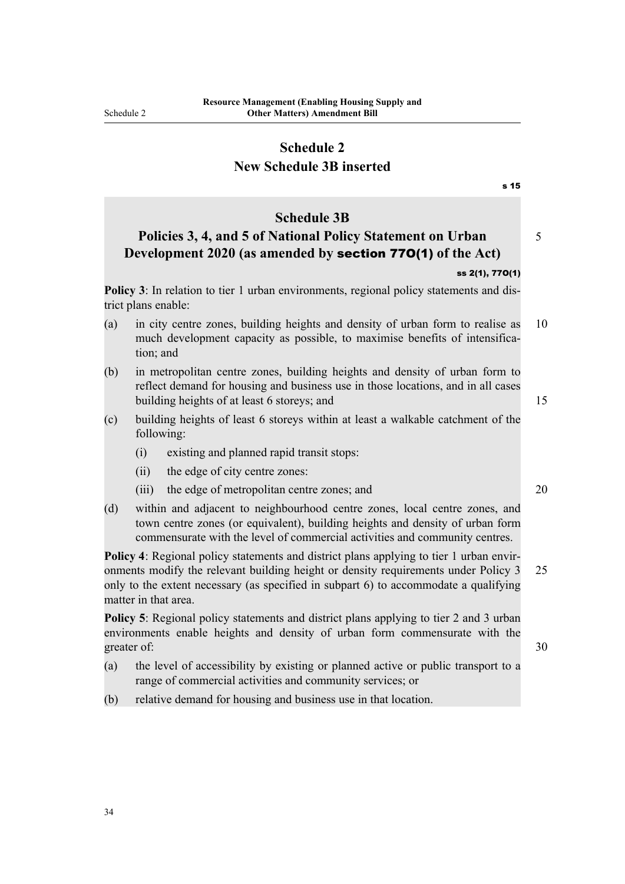trict plans enable:

tion; and

following:

matter in that area.

#### **Schedule 2 New Schedule 3B inserted**

## <span id="page-49-0"></span>s 15 **Schedule 3B Policies 3, 4, and 5 of National Policy Statement on Urban** 5 **Development 2020 (as amended by** section 77O(1) **of the Act)** ss 2(1), 77O(1) **Policy 3**: In relation to tier 1 urban environments, regional policy statements and dis-(a) in city centre zones, building heights and density of urban form to realise as 10 much development capacity as possible, to maximise benefits of intensifica-(b) in metropolitan centre zones, building heights and density of urban form to reflect demand for housing and business use in those locations, and in all cases building heights of at least 6 storeys; and 15 (c) building heights of least 6 storeys within at least a walkable catchment of the (i) existing and planned rapid transit stops: (ii) the edge of city centre zones: (iii) the edge of metropolitan centre zones; and 20 (d) within and adjacent to neighbourhood centre zones, local centre zones, and town centre zones (or equivalent), building heights and density of urban form commensurate with the level of commercial activities and community centres. **Policy 4**: Regional policy statements and district plans applying to tier 1 urban environments modify the relevant building height or density requirements under Policy 3 25 only to the extent necessary (as specified in subpart 6) to accommodate a qualifying **Policy 5**: Regional policy statements and district plans applying to tier 2 and 3 urban environments enable heights and density of urban form commensurate with the greater of: 30

- (a) the level of accessibility by existing or planned active or public transport to a range of commercial activities and community services; or
- (b) relative demand for housing and business use in that location.